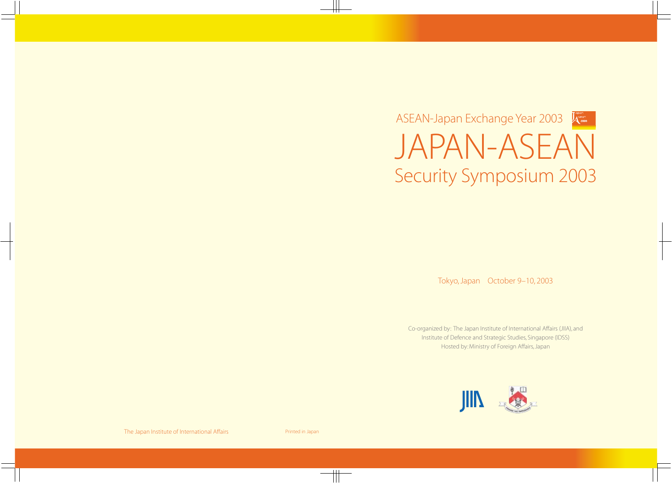# JAPAN-ASEAN Security Symposium 2003 ASEAN-Japan Exchange Year 2003

Tokyo, Japan October 9–10, 2003

Co-organized by: The Japan Institute of International Affairs (JIIA), and Institute of Defence and Strategic Studies, Singapore (IDSS) Hosted by: Ministry of Foreign Affairs, Japan



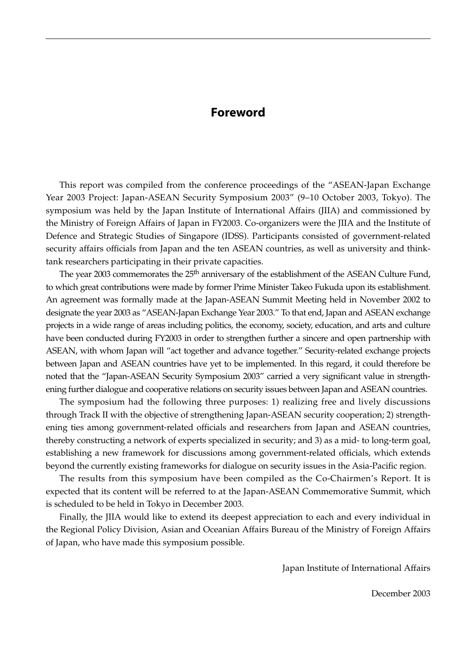# **Foreword**

This report was compiled from the conference proceedings of the "ASEAN-Japan Exchange Year 2003 Project: Japan-ASEAN Security Symposium 2003" (9–10 October 2003, Tokyo). The symposium was held by the Japan Institute of International Affairs (JIIA) and commissioned by the Ministry of Foreign Affairs of Japan in FY2003. Co-organizers were the JIIA and the Institute of Defence and Strategic Studies of Singapore (IDSS). Participants consisted of government-related security affairs officials from Japan and the ten ASEAN countries, as well as university and thinktank researchers participating in their private capacities.

The year 2003 commemorates the 25<sup>th</sup> anniversary of the establishment of the ASEAN Culture Fund, to which great contributions were made by former Prime Minister Takeo Fukuda upon its establishment. An agreement was formally made at the Japan-ASEAN Summit Meeting held in November 2002 to designate the year 2003 as "ASEAN-Japan Exchange Year 2003." To that end, Japan and ASEAN exchange projects in a wide range of areas including politics, the economy, society, education, and arts and culture have been conducted during FY2003 in order to strengthen further a sincere and open partnership with ASEAN, with whom Japan will "act together and advance together." Security-related exchange projects between Japan and ASEAN countries have yet to be implemented. In this regard, it could therefore be noted that the "Japan-ASEAN Security Symposium 2003" carried a very significant value in strengthening further dialogue and cooperative relations on security issues between Japan and ASEAN countries.

The symposium had the following three purposes: 1) realizing free and lively discussions through Track II with the objective of strengthening Japan-ASEAN security cooperation; 2) strengthening ties among government-related officials and researchers from Japan and ASEAN countries, thereby constructing a network of experts specialized in security; and 3) as a mid- to long-term goal, establishing a new framework for discussions among government-related officials, which extends beyond the currently existing frameworks for dialogue on security issues in the Asia-Pacific region.

The results from this symposium have been compiled as the Co-Chairmen's Report. It is expected that its content will be referred to at the Japan-ASEAN Commemorative Summit, which is scheduled to be held in Tokyo in December 2003.

Finally, the JIIA would like to extend its deepest appreciation to each and every individual in the Regional Policy Division, Asian and Oceanian Affairs Bureau of the Ministry of Foreign Affairs of Japan, who have made this symposium possible.

Japan Institute of International Affairs

December 2003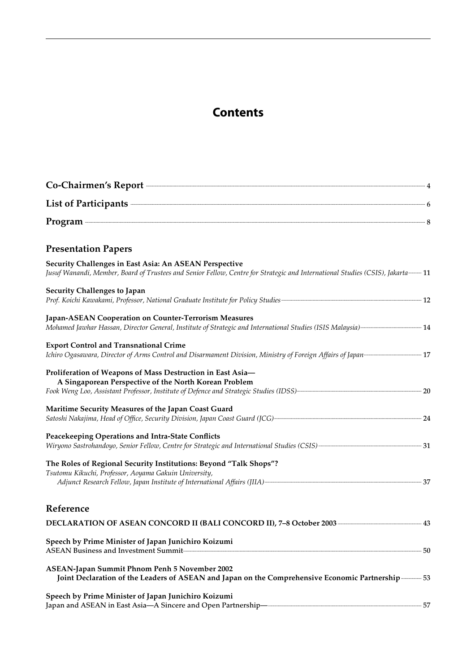# **Contents**

| Co-Chairmen's Report 44                                                                                                                                                                                                                                                                 |  |
|-----------------------------------------------------------------------------------------------------------------------------------------------------------------------------------------------------------------------------------------------------------------------------------------|--|
| List of Participants – 6                                                                                                                                                                                                                                                                |  |
| $Program$ – $8$                                                                                                                                                                                                                                                                         |  |
| <b>Presentation Papers</b>                                                                                                                                                                                                                                                              |  |
| Security Challenges in East Asia: An ASEAN Perspective<br>Jusuf Wanandi, Member, Board of Trustees and Senior Fellow, Centre for Strategic and International Studies (CSIS), Jakarta--------- 11                                                                                        |  |
| <b>Security Challenges to Japan</b>                                                                                                                                                                                                                                                     |  |
| Japan-ASEAN Cooperation on Counter-Terrorism Measures                                                                                                                                                                                                                                   |  |
| <b>Export Control and Transnational Crime</b><br>Ichiro Ogasawara, Director of Arms Control and Disarmament Division, Ministry of Foreign Affairs of Japan-                                                                                                                             |  |
| Proliferation of Weapons of Mass Destruction in East Asia-<br>A Singaporean Perspective of the North Korean Problem                                                                                                                                                                     |  |
| Maritime Security Measures of the Japan Coast Guard                                                                                                                                                                                                                                     |  |
| Peacekeeping Operations and Intra-State Conflicts                                                                                                                                                                                                                                       |  |
| The Roles of Regional Security Institutions: Beyond "Talk Shops"?<br>Tsutomu Kikuchi, Professor, Aoyama Gakuin University,                                                                                                                                                              |  |
| Reference                                                                                                                                                                                                                                                                               |  |
|                                                                                                                                                                                                                                                                                         |  |
| Speech by Prime Minister of Japan Junichiro Koizumi<br>ASEAN Business and Investment Summit-<br>2008. The Second Law Second Law Second Law Second Law Second Law Second Law Second Law Second Law Second Law Second Law Second Law Second Law Second Law Second Law Second Law Second L |  |
| ASEAN-Japan Summit Phnom Penh 5 November 2002<br>Joint Declaration of the Leaders of ASEAN and Japan on the Comprehensive Economic Partnership  53                                                                                                                                      |  |
| Speech by Prime Minister of Japan Junichiro Koizumi                                                                                                                                                                                                                                     |  |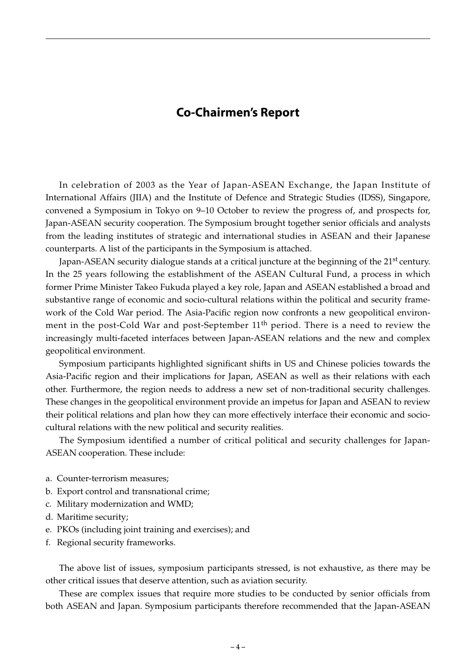# **Co-Chairmen's Report**

In celebration of 2003 as the Year of Japan-ASEAN Exchange, the Japan Institute of International Affairs (JIIA) and the Institute of Defence and Strategic Studies (IDSS), Singapore, convened a Symposium in Tokyo on 9–10 October to review the progress of, and prospects for, Japan-ASEAN security cooperation. The Symposium brought together senior officials and analysts from the leading institutes of strategic and international studies in ASEAN and their Japanese counterparts. A list of the participants in the Symposium is attached.

Japan-ASEAN security dialogue stands at a critical juncture at the beginning of the 21<sup>st</sup> century. In the 25 years following the establishment of the ASEAN Cultural Fund, a process in which former Prime Minister Takeo Fukuda played a key role, Japan and ASEAN established a broad and substantive range of economic and socio-cultural relations within the political and security framework of the Cold War period. The Asia-Pacific region now confronts a new geopolitical environment in the post-Cold War and post-September 11<sup>th</sup> period. There is a need to review the increasingly multi-faceted interfaces between Japan-ASEAN relations and the new and complex geopolitical environment.

Symposium participants highlighted significant shifts in US and Chinese policies towards the Asia-Pacific region and their implications for Japan, ASEAN as well as their relations with each other. Furthermore, the region needs to address a new set of non-traditional security challenges. These changes in the geopolitical environment provide an impetus for Japan and ASEAN to review their political relations and plan how they can more effectively interface their economic and sociocultural relations with the new political and security realities.

The Symposium identified a number of critical political and security challenges for Japan-ASEAN cooperation. These include:

- a. Counter-terrorism measures;
- b. Export control and transnational crime;
- c. Military modernization and WMD;
- d. Maritime security;
- e. PKOs (including joint training and exercises); and
- f. Regional security frameworks.

The above list of issues, symposium participants stressed, is not exhaustive, as there may be other critical issues that deserve attention, such as aviation security.

These are complex issues that require more studies to be conducted by senior officials from both ASEAN and Japan. Symposium participants therefore recommended that the Japan-ASEAN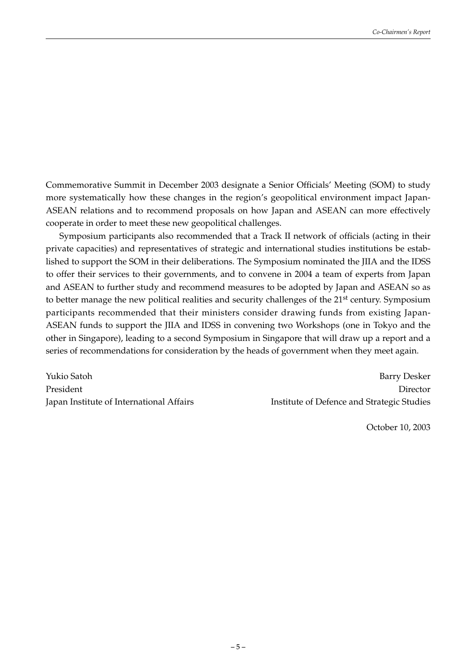Commemorative Summit in December 2003 designate a Senior Officials' Meeting (SOM) to study more systematically how these changes in the region's geopolitical environment impact Japan-ASEAN relations and to recommend proposals on how Japan and ASEAN can more effectively cooperate in order to meet these new geopolitical challenges.

Symposium participants also recommended that a Track II network of officials (acting in their private capacities) and representatives of strategic and international studies institutions be established to support the SOM in their deliberations. The Symposium nominated the JIIA and the IDSS to offer their services to their governments, and to convene in 2004 a team of experts from Japan and ASEAN to further study and recommend measures to be adopted by Japan and ASEAN so as to better manage the new political realities and security challenges of the 21<sup>st</sup> century. Symposium participants recommended that their ministers consider drawing funds from existing Japan-ASEAN funds to support the JIIA and IDSS in convening two Workshops (one in Tokyo and the other in Singapore), leading to a second Symposium in Singapore that will draw up a report and a series of recommendations for consideration by the heads of government when they meet again.

Yukio Satoh Barry Desker President Director Japan Institute of International Affairs **Institute of Defence and Strategic Studies** 

October 10, 2003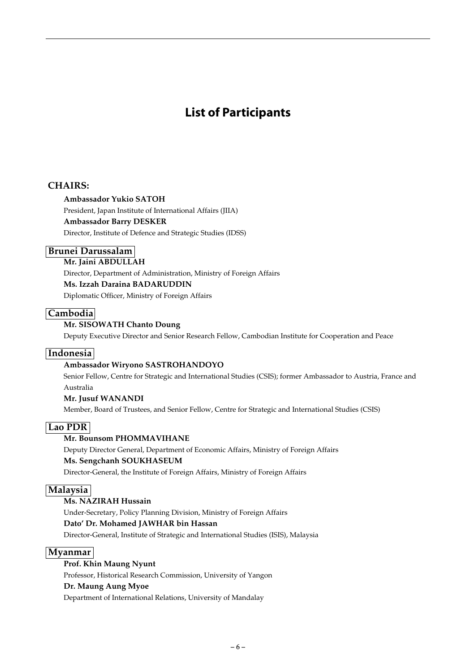# **List of Participants**

## **CHAIRS:**

**Ambassador Yukio SATOH** President, Japan Institute of International Affairs (JIIA) **Ambassador Barry DESKER** Director, Institute of Defence and Strategic Studies (IDSS)

## **Brunei Darussalam**

**Mr. Jaini ABDULLAH** Director, Department of Administration, Ministry of Foreign Affairs **Ms. Izzah Daraina BADARUDDIN** Diplomatic Officer, Ministry of Foreign Affairs

#### **Cambodia**

#### **Mr. SISOWATH Chanto Doung**

Deputy Executive Director and Senior Research Fellow, Cambodian Institute for Cooperation and Peace

### **Indonesia**

#### **Ambassador Wiryono SASTROHANDOYO**

Senior Fellow, Centre for Strategic and International Studies (CSIS); former Ambassador to Austria, France and Australia

#### **Mr. Jusuf WANANDI**

Member, Board of Trustees, and Senior Fellow, Centre for Strategic and International Studies (CSIS)

## **Lao PDR**

#### **Mr. Bounsom PHOMMAVIHANE**

Deputy Director General, Department of Economic Affairs, Ministry of Foreign Affairs **Ms. Sengchanh SOUKHASEUM** Director-General, the Institute of Foreign Affairs, Ministry of Foreign Affairs

## **Malaysia**

**Ms. NAZIRAH Hussain** Under-Secretary, Policy Planning Division, Ministry of Foreign Affairs **Dato' Dr. Mohamed JAWHAR bin Hassan** Director-General, Institute of Strategic and International Studies (ISIS), Malaysia

#### **Myanmar**

#### **Prof. Khin Maung Nyunt**

Professor, Historical Research Commission, University of Yangon

#### **Dr. Maung Aung Myoe**

Department of International Relations, University of Mandalay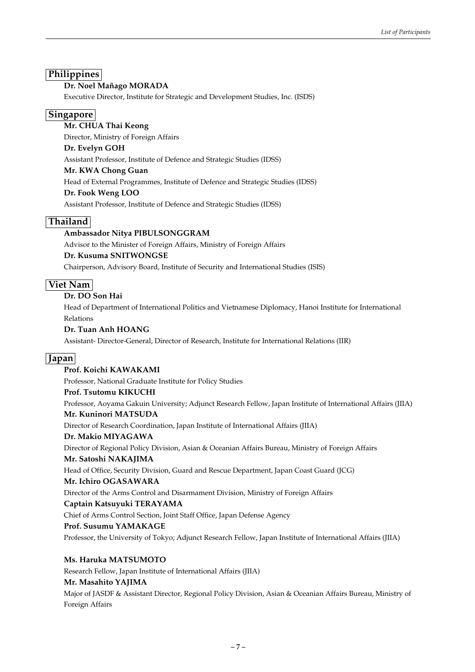# **Philippines**

# **Dr. Noel Mañago MORADA**

Executive Director, Institute for Strategic and Development Studies, Inc. (ISDS)

# **Singapore**

**Mr. CHUA Thai Keong** Director, Ministry of Foreign Affairs **Dr. Evelyn GOH** Assistant Professor, Institute of Defence and Strategic Studies (IDSS) **Mr. KWA Chong Guan** Head of External Programmes, Institute of Defence and Strategic Studies (IDSS) **Dr. Fook Weng LOO** Assistant Professor, Institute of Defence and Strategic Studies (IDSS)

# **Thailand**

# **Ambassador Nitya PIBULSONGGRAM**

Advisor to the Minister of Foreign Affairs, Ministry of Foreign Affairs

## **Dr. Kusuma SNITWONGSE**

Chairperson, Advisory Board, Institute of Security and International Studies (ISIS)

# **Viet Nam**

## **Dr. DO Son Hai**

Head of Department of International Politics and Vietnamese Diplomacy, Hanoi Institute for International Relations

## **Dr. Tuan Anh HOANG**

Assistant- Director-General, Director of Research, Institute for International Relations (IIR)

# **Japan**

## **Prof. Koichi KAWAKAMI**

Professor, National Graduate Institute for Policy Studies

## **Prof. Tsutomu KIKUCHI**

Professor, Aoyama Gakuin University; Adjunct Research Fellow, Japan Institute of International Affairs (JIIA)

# **Mr. Kuninori MATSUDA**

Director of Research Coordination, Japan Institute of International Affairs (JIIA)

#### **Dr. Makio MIYAGAWA**

Director of Regional Policy Division, Asian & Oceanian Affairs Bureau, Ministry of Foreign Affairs

#### **Mr. Satoshi NAKAJIMA**

Head of Office, Security Division, Guard and Rescue Department, Japan Coast Guard (JCG)

#### **Mr. Ichiro OGASAWARA**

Director of the Arms Control and Disarmament Division, Ministry of Foreign Affairs

#### **Captain Katsuyuki TERAYAMA**

Chief of Arms Control Section, Joint Staff Office, Japan Defense Agency

## **Prof. Susumu YAMAKAGE**

Professor, the University of Tokyo; Adjunct Research Fellow, Japan Institute of International Affairs (JIIA)

## **Ms. Haruka MATSUMOTO**

Research Fellow, Japan Institute of International Affairs (JIIA)

## **Mr. Masahito YAJIMA**

Major of JASDF & Assistant Director, Regional Policy Division, Asian & Oceanian Affairs Bureau, Ministry of Foreign Affairs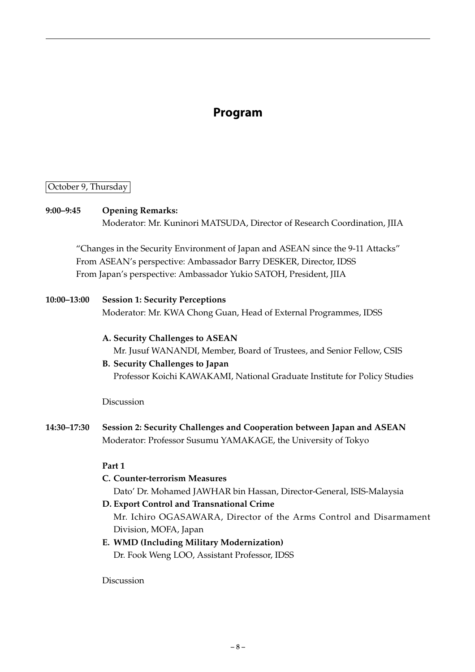# **Program**

# October 9, Thursday

# **9:00–9:45 Opening Remarks:**

Moderator: Mr. Kuninori MATSUDA, Director of Research Coordination, JIIA

"Changes in the Security Environment of Japan and ASEAN since the 9-11 Attacks" From ASEAN's perspective: Ambassador Barry DESKER, Director, IDSS From Japan's perspective: Ambassador Yukio SATOH, President, JIIA

# **10:00–13:00 Session 1: Security Perceptions**

Moderator: Mr. KWA Chong Guan, Head of External Programmes, IDSS

# **A. Security Challenges to ASEAN**

Mr. Jusuf WANANDI, Member, Board of Trustees, and Senior Fellow, CSIS

# **B. Security Challenges to Japan**

Professor Koichi KAWAKAMI, National Graduate Institute for Policy Studies

# Discussion

**14:30–17:30 Session 2: Security Challenges and Cooperation between Japan and ASEAN**  Moderator: Professor Susumu YAMAKAGE, the University of Tokyo

# **Part 1**

# **C. Counter-terrorism Measures**

Dato' Dr. Mohamed JAWHAR bin Hassan, Director-General, ISIS-Malaysia

# **D. Export Control and Transnational Crime**

Mr. Ichiro OGASAWARA, Director of the Arms Control and Disarmament Division, MOFA, Japan

# **E. WMD (Including Military Modernization)**

Dr. Fook Weng LOO, Assistant Professor, IDSS

Discussion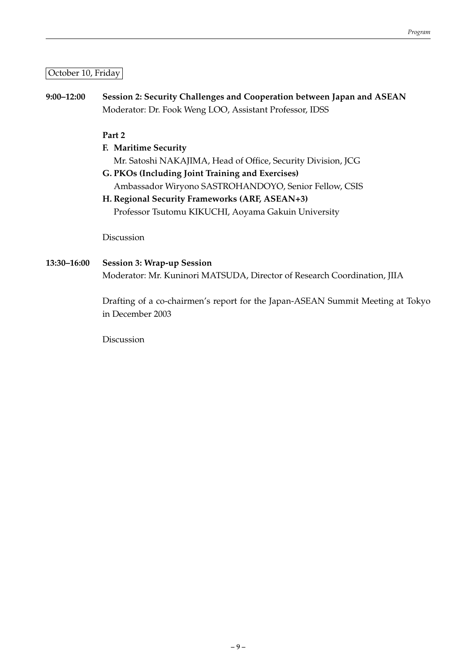# October 10, Friday

**9:00–12:00 Session 2: Security Challenges and Cooperation between Japan and ASEAN** Moderator: Dr. Fook Weng LOO, Assistant Professor, IDSS

## **Part 2**

**F. Maritime Security**

Mr. Satoshi NAKAJIMA, Head of Office, Security Division, JCG

- **G. PKOs (Including Joint Training and Exercises)** Ambassador Wiryono SASTROHANDOYO, Senior Fellow, CSIS
- **H. Regional Security Frameworks (ARF, ASEAN+3)** Professor Tsutomu KIKUCHI, Aoyama Gakuin University

Discussion

# **13:30–16:00 Session 3: Wrap-up Session** Moderator: Mr. Kuninori MATSUDA, Director of Research Coordination, JIIA

Drafting of a co-chairmen's report for the Japan-ASEAN Summit Meeting at Tokyo in December 2003

Discussion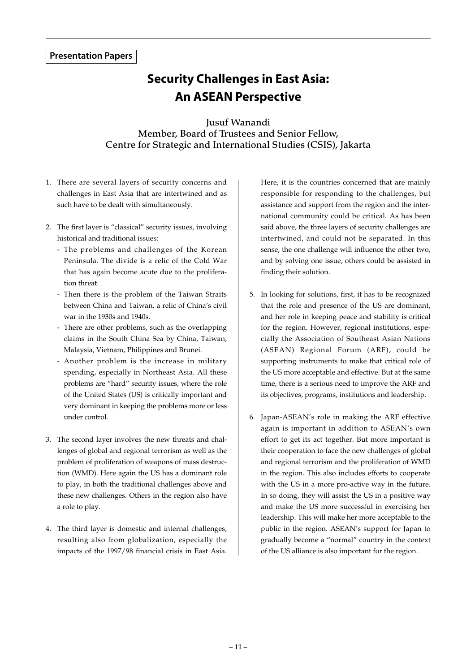# **Presentation Papers**

# **Security Challenges in East Asia: An ASEAN Perspective**

# **Jusuf Wanandi Member, Board of Trustees and Senior Fellow, Centre for Strategic and International Studies (CSIS), Jakarta**

- 1. There are several layers of security concerns and challenges in East Asia that are intertwined and as such have to be dealt with simultaneously.
- 2. The first layer is "classical" security issues, involving historical and traditional issues:
	- The problems and challenges of the Korean Peninsula. The divide is a relic of the Cold War that has again become acute due to the proliferation threat.
	- Then there is the problem of the Taiwan Straits between China and Taiwan, a relic of China's civil war in the 1930s and 1940s.
	- There are other problems, such as the overlapping claims in the South China Sea by China, Taiwan, Malaysia, Vietnam, Philippines and Brunei.
	- Another problem is the increase in military spending, especially in Northeast Asia. All these problems are "hard" security issues, where the role of the United States (US) is critically important and very dominant in keeping the problems more or less under control.
- 3. The second layer involves the new threats and challenges of global and regional terrorism as well as the problem of proliferation of weapons of mass destruction (WMD). Here again the US has a dominant role to play, in both the traditional challenges above and these new challenges. Others in the region also have a role to play.
- 4. The third layer is domestic and internal challenges, resulting also from globalization, especially the impacts of the 1997/98 financial crisis in East Asia.

Here, it is the countries concerned that are mainly responsible for responding to the challenges, but assistance and support from the region and the international community could be critical. As has been said above, the three layers of security challenges are intertwined, and could not be separated. In this sense, the one challenge will influence the other two, and by solving one issue, others could be assisted in finding their solution.

- 5. In looking for solutions, first, it has to be recognized that the role and presence of the US are dominant, and her role in keeping peace and stability is critical for the region. However, regional institutions, especially the Association of Southeast Asian Nations (ASEAN) Regional Forum (ARF), could be supporting instruments to make that critical role of the US more acceptable and effective. But at the same time, there is a serious need to improve the ARF and its objectives, programs, institutions and leadership.
- 6. Japan-ASEAN's role in making the ARF effective again is important in addition to ASEAN's own effort to get its act together. But more important is their cooperation to face the new challenges of global and regional terrorism and the proliferation of WMD in the region. This also includes efforts to cooperate with the US in a more pro-active way in the future. In so doing, they will assist the US in a positive way and make the US more successful in exercising her leadership. This will make her more acceptable to the public in the region. ASEAN's support for Japan to gradually become a "normal" country in the context of the US alliance is also important for the region.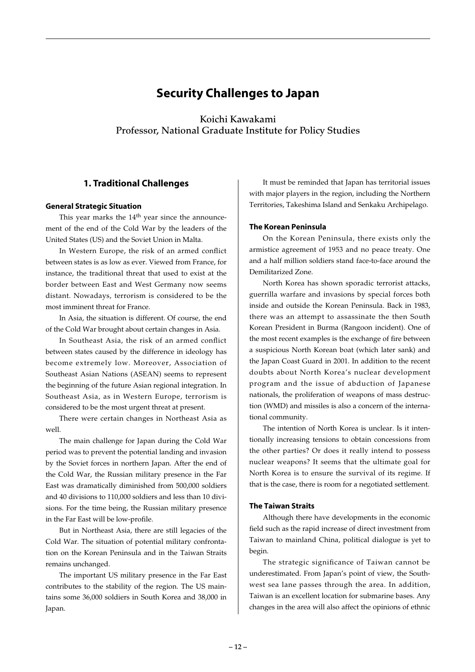# **Security Challenges to Japan**

**Koichi Kawakami Professor, National Graduate Institute for Policy Studies**

# **1. Traditional Challenges**

#### **General Strategic Situation**

This year marks the  $14<sup>th</sup>$  year since the announcement of the end of the Cold War by the leaders of the United States (US) and the Soviet Union in Malta.

In Western Europe, the risk of an armed conflict between states is as low as ever. Viewed from France, for instance, the traditional threat that used to exist at the border between East and West Germany now seems distant. Nowadays, terrorism is considered to be the most imminent threat for France.

In Asia, the situation is different. Of course, the end of the Cold War brought about certain changes in Asia.

In Southeast Asia, the risk of an armed conflict between states caused by the difference in ideology has become extremely low. Moreover, Association of Southeast Asian Nations (ASEAN) seems to represent the beginning of the future Asian regional integration. In Southeast Asia, as in Western Europe, terrorism is considered to be the most urgent threat at present.

There were certain changes in Northeast Asia as well.

The main challenge for Japan during the Cold War period was to prevent the potential landing and invasion by the Soviet forces in northern Japan. After the end of the Cold War, the Russian military presence in the Far East was dramatically diminished from 500,000 soldiers and 40 divisions to 110,000 soldiers and less than 10 divisions. For the time being, the Russian military presence in the Far East will be low-profile.

But in Northeast Asia, there are still legacies of the Cold War. The situation of potential military confrontation on the Korean Peninsula and in the Taiwan Straits remains unchanged.

The important US military presence in the Far East contributes to the stability of the region. The US maintains some 36,000 soldiers in South Korea and 38,000 in Japan.

It must be reminded that Japan has territorial issues with major players in the region, including the Northern Territories, Takeshima Island and Senkaku Archipelago.

#### **The Korean Peninsula**

On the Korean Peninsula, there exists only the armistice agreement of 1953 and no peace treaty. One and a half million soldiers stand face-to-face around the Demilitarized Zone.

North Korea has shown sporadic terrorist attacks, guerrilla warfare and invasions by special forces both inside and outside the Korean Peninsula. Back in 1983, there was an attempt to assassinate the then South Korean President in Burma (Rangoon incident). One of the most recent examples is the exchange of fire between a suspicious North Korean boat (which later sank) and the Japan Coast Guard in 2001. In addition to the recent doubts about North Korea's nuclear development program and the issue of abduction of Japanese nationals, the proliferation of weapons of mass destruction (WMD) and missiles is also a concern of the international community.

The intention of North Korea is unclear. Is it intentionally increasing tensions to obtain concessions from the other parties? Or does it really intend to possess nuclear weapons? It seems that the ultimate goal for North Korea is to ensure the survival of its regime. If that is the case, there is room for a negotiated settlement.

#### **The Taiwan Straits**

Although there have developments in the economic field such as the rapid increase of direct investment from Taiwan to mainland China, political dialogue is yet to begin.

The strategic significance of Taiwan cannot be underestimated. From Japan's point of view, the Southwest sea lane passes through the area. In addition, Taiwan is an excellent location for submarine bases. Any changes in the area will also affect the opinions of ethnic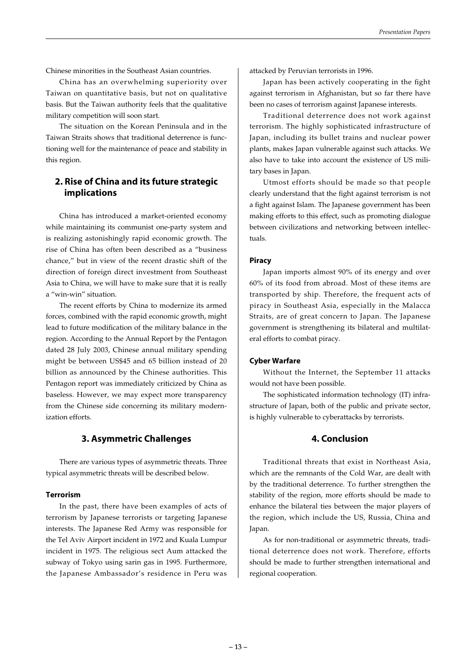Chinese minorities in the Southeast Asian countries.

China has an overwhelming superiority over Taiwan on quantitative basis, but not on qualitative basis. But the Taiwan authority feels that the qualitative military competition will soon start.

The situation on the Korean Peninsula and in the Taiwan Straits shows that traditional deterrence is functioning well for the maintenance of peace and stability in this region.

# **2. Rise of China and its future strategic implications**

China has introduced a market-oriented economy while maintaining its communist one-party system and is realizing astonishingly rapid economic growth. The rise of China has often been described as a "business chance," but in view of the recent drastic shift of the direction of foreign direct investment from Southeast Asia to China, we will have to make sure that it is really a "win-win" situation.

The recent efforts by China to modernize its armed forces, combined with the rapid economic growth, might lead to future modification of the military balance in the region. According to the Annual Report by the Pentagon dated 28 July 2003, Chinese annual military spending might be between US\$45 and 65 billion instead of 20 billion as announced by the Chinese authorities. This Pentagon report was immediately criticized by China as baseless. However, we may expect more transparency from the Chinese side concerning its military modernization efforts.

# **3. Asymmetric Challenges**

There are various types of asymmetric threats. Three typical asymmetric threats will be described below.

#### **Terrorism**

In the past, there have been examples of acts of terrorism by Japanese terrorists or targeting Japanese interests. The Japanese Red Army was responsible for the Tel Aviv Airport incident in 1972 and Kuala Lumpur incident in 1975. The religious sect Aum attacked the subway of Tokyo using sarin gas in 1995. Furthermore, the Japanese Ambassador's residence in Peru was attacked by Peruvian terrorists in 1996.

Japan has been actively cooperating in the fight against terrorism in Afghanistan, but so far there have been no cases of terrorism against Japanese interests.

Traditional deterrence does not work against terrorism. The highly sophisticated infrastructure of Japan, including its bullet trains and nuclear power plants, makes Japan vulnerable against such attacks. We also have to take into account the existence of US military bases in Japan.

Utmost efforts should be made so that people clearly understand that the fight against terrorism is not a fight against Islam. The Japanese government has been making efforts to this effect, such as promoting dialogue between civilizations and networking between intellectuals.

#### **Piracy**

Japan imports almost 90% of its energy and over 60% of its food from abroad. Most of these items are transported by ship. Therefore, the frequent acts of piracy in Southeast Asia, especially in the Malacca Straits, are of great concern to Japan. The Japanese government is strengthening its bilateral and multilateral efforts to combat piracy.

## **Cyber Warfare**

Without the Internet, the September 11 attacks would not have been possible.

The sophisticated information technology (IT) infrastructure of Japan, both of the public and private sector, is highly vulnerable to cyberattacks by terrorists.

# **4. Conclusion**

Traditional threats that exist in Northeast Asia, which are the remnants of the Cold War, are dealt with by the traditional deterrence. To further strengthen the stability of the region, more efforts should be made to enhance the bilateral ties between the major players of the region, which include the US, Russia, China and Japan.

As for non-traditional or asymmetric threats, traditional deterrence does not work. Therefore, efforts should be made to further strengthen international and regional cooperation.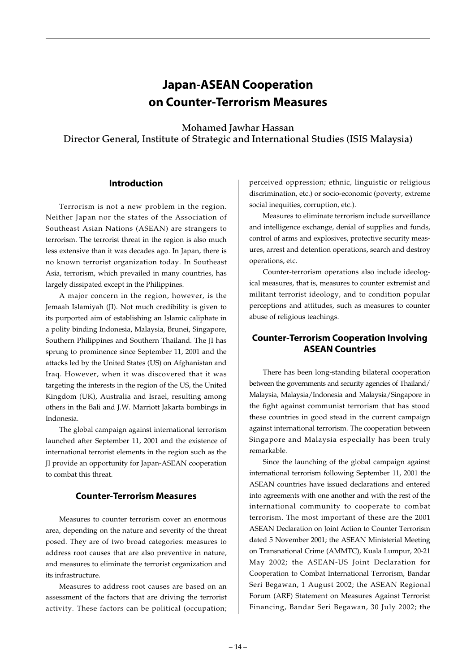# **Japan-ASEAN Cooperation on Counter-Terrorism Measures**

**Mohamed Jawhar Hassan Director General, Institute of Strategic and International Studies (ISIS Malaysia)**

#### **Introduction**

Terrorism is not a new problem in the region. Neither Japan nor the states of the Association of Southeast Asian Nations (ASEAN) are strangers to terrorism. The terrorist threat in the region is also much less extensive than it was decades ago. In Japan, there is no known terrorist organization today. In Southeast Asia, terrorism, which prevailed in many countries, has largely dissipated except in the Philippines.

A major concern in the region, however, is the Jemaah Islamiyah (JI). Not much credibility is given to its purported aim of establishing an Islamic caliphate in a polity binding Indonesia, Malaysia, Brunei, Singapore, Southern Philippines and Southern Thailand. The JI has sprung to prominence since September 11, 2001 and the attacks led by the United States (US) on Afghanistan and Iraq. However, when it was discovered that it was targeting the interests in the region of the US, the United Kingdom (UK), Australia and Israel, resulting among others in the Bali and J.W. Marriott Jakarta bombings in Indonesia.

The global campaign against international terrorism launched after September 11, 2001 and the existence of international terrorist elements in the region such as the JI provide an opportunity for Japan-ASEAN cooperation to combat this threat.

# **Counter-Terrorism Measures**

Measures to counter terrorism cover an enormous area, depending on the nature and severity of the threat posed. They are of two broad categories: measures to address root causes that are also preventive in nature, and measures to eliminate the terrorist organization and its infrastructure.

Measures to address root causes are based on an assessment of the factors that are driving the terrorist activity. These factors can be political (occupation; perceived oppression; ethnic, linguistic or religious discrimination, etc.) or socio-economic (poverty, extreme social inequities, corruption, etc.).

Measures to eliminate terrorism include surveillance and intelligence exchange, denial of supplies and funds, control of arms and explosives, protective security measures, arrest and detention operations, search and destroy operations, etc.

Counter-terrorism operations also include ideological measures, that is, measures to counter extremist and militant terrorist ideology, and to condition popular perceptions and attitudes, such as measures to counter abuse of religious teachings.

# **Counter-Terrorism Cooperation Involving ASEAN Countries**

There has been long-standing bilateral cooperation between the governments and security agencies of Thailand/ Malaysia, Malaysia/Indonesia and Malaysia/Singapore in the fight against communist terrorism that has stood these countries in good stead in the current campaign against international terrorism. The cooperation between Singapore and Malaysia especially has been truly remarkable.

Since the launching of the global campaign against international terrorism following September 11, 2001 the ASEAN countries have issued declarations and entered into agreements with one another and with the rest of the international community to cooperate to combat terrorism. The most important of these are the 2001 ASEAN Declaration on Joint Action to Counter Terrorism dated 5 November 2001; the ASEAN Ministerial Meeting on Transnational Crime (AMMTC), Kuala Lumpur, 20-21 May 2002; the ASEAN-US Joint Declaration for Cooperation to Combat International Terrorism, Bandar Seri Begawan, 1 August 2002; the ASEAN Regional Forum (ARF) Statement on Measures Against Terrorist Financing, Bandar Seri Begawan, 30 July 2002; the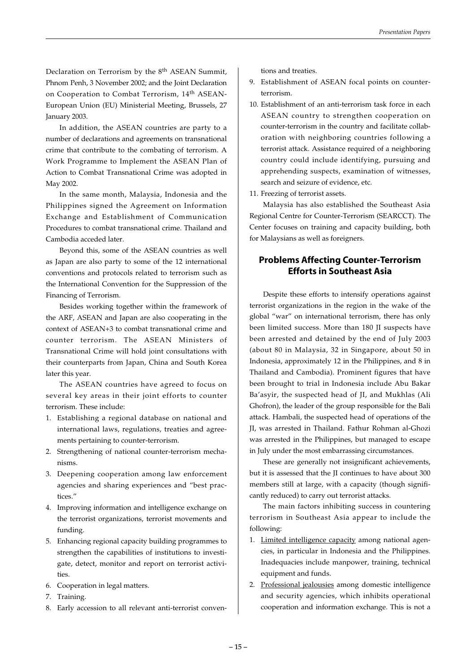Declaration on Terrorism by the 8<sup>th</sup> ASEAN Summit, Phnom Penh, 3 November 2002; and the Joint Declaration on Cooperation to Combat Terrorism, 14th ASEAN-European Union (EU) Ministerial Meeting, Brussels, 27 January 2003.

In addition, the ASEAN countries are party to a number of declarations and agreements on transnational crime that contribute to the combating of terrorism. A Work Programme to Implement the ASEAN Plan of Action to Combat Transnational Crime was adopted in May 2002.

In the same month, Malaysia, Indonesia and the Philippines signed the Agreement on Information Exchange and Establishment of Communication Procedures to combat transnational crime. Thailand and Cambodia acceded later.

Beyond this, some of the ASEAN countries as well as Japan are also party to some of the 12 international conventions and protocols related to terrorism such as the International Convention for the Suppression of the Financing of Terrorism.

Besides working together within the framework of the ARF, ASEAN and Japan are also cooperating in the context of ASEAN+3 to combat transnational crime and counter terrorism. The ASEAN Ministers of Transnational Crime will hold joint consultations with their counterparts from Japan, China and South Korea later this year.

The ASEAN countries have agreed to focus on several key areas in their joint efforts to counter terrorism. These include:

- 1. Establishing a regional database on national and international laws, regulations, treaties and agreements pertaining to counter-terrorism.
- 2. Strengthening of national counter-terrorism mechanisms.
- 3. Deepening cooperation among law enforcement agencies and sharing experiences and "best practices."
- 4. Improving information and intelligence exchange on the terrorist organizations, terrorist movements and funding.
- 5. Enhancing regional capacity building programmes to strengthen the capabilities of institutions to investigate, detect, monitor and report on terrorist activities.
- 6. Cooperation in legal matters.
- 7. Training.
- 8. Early accession to all relevant anti-terrorist conven-

tions and treaties.

- 9. Establishment of ASEAN focal points on counterterrorism.
- 10. Establishment of an anti-terrorism task force in each ASEAN country to strengthen cooperation on counter-terrorism in the country and facilitate collaboration with neighboring countries following a terrorist attack. Assistance required of a neighboring country could include identifying, pursuing and apprehending suspects, examination of witnesses, search and seizure of evidence, etc.
- 11. Freezing of terrorist assets.

Malaysia has also established the Southeast Asia Regional Centre for Counter-Terrorism (SEARCCT). The Center focuses on training and capacity building, both for Malaysians as well as foreigners.

# **Problems Affecting Counter-Terrorism Efforts in Southeast Asia**

Despite these efforts to intensify operations against terrorist organizations in the region in the wake of the global "war" on international terrorism, there has only been limited success. More than 180 JI suspects have been arrested and detained by the end of July 2003 (about 80 in Malaysia, 32 in Singapore, about 50 in Indonesia, approximately 12 in the Philippines, and 8 in Thailand and Cambodia). Prominent figures that have been brought to trial in Indonesia include Abu Bakar Ba'asyir, the suspected head of JI, and Mukhlas (Ali Ghofron), the leader of the group responsible for the Bali attack. Hambali, the suspected head of operations of the JI, was arrested in Thailand. Fathur Rohman al-Ghozi was arrested in the Philippines, but managed to escape in July under the most embarrassing circumstances.

These are generally not insignificant achievements, but it is assessed that the JI continues to have about 300 members still at large, with a capacity (though significantly reduced) to carry out terrorist attacks.

The main factors inhibiting success in countering terrorism in Southeast Asia appear to include the following:

- 1. Limited intelligence capacity among national agencies, in particular in Indonesia and the Philippines. Inadequacies include manpower, training, technical equipment and funds.
- 2. Professional jealousies among domestic intelligence and security agencies, which inhibits operational cooperation and information exchange. This is not a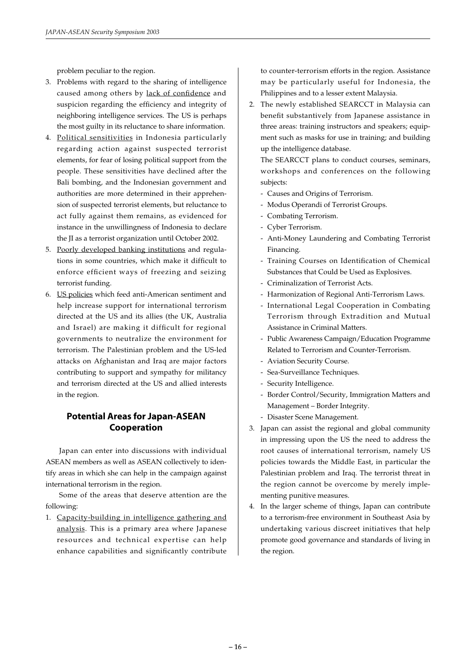problem peculiar to the region.

- 3. Problems with regard to the sharing of intelligence caused among others by lack of confidence and suspicion regarding the efficiency and integrity of neighboring intelligence services. The US is perhaps the most guilty in its reluctance to share information.
- 4. Political sensitivities in Indonesia particularly regarding action against suspected terrorist elements, for fear of losing political support from the people. These sensitivities have declined after the Bali bombing, and the Indonesian government and authorities are more determined in their apprehension of suspected terrorist elements, but reluctance to act fully against them remains, as evidenced for instance in the unwillingness of Indonesia to declare the JI as a terrorist organization until October 2002.
- 5. Poorly developed banking institutions and regulations in some countries, which make it difficult to enforce efficient ways of freezing and seizing terrorist funding.
- 6. US policies which feed anti-American sentiment and help increase support for international terrorism directed at the US and its allies (the UK, Australia and Israel) are making it difficult for regional governments to neutralize the environment for terrorism. The Palestinian problem and the US-led attacks on Afghanistan and Iraq are major factors contributing to support and sympathy for militancy and terrorism directed at the US and allied interests in the region.

# **Potential Areas for Japan-ASEAN Cooperation**

Japan can enter into discussions with individual ASEAN members as well as ASEAN collectively to identify areas in which she can help in the campaign against international terrorism in the region.

Some of the areas that deserve attention are the following:

1. Capacity-building in intelligence gathering and analysis. This is a primary area where Japanese resources and technical expertise can help enhance capabilities and significantly contribute

to counter-terrorism efforts in the region. Assistance may be particularly useful for Indonesia, the Philippines and to a lesser extent Malaysia.

2. The newly established SEARCCT in Malaysia can benefit substantively from Japanese assistance in three areas: training instructors and speakers; equipment such as masks for use in training; and building up the intelligence database.

The SEARCCT plans to conduct courses, seminars, workshops and conferences on the following subjects:

- Causes and Origins of Terrorism.
- Modus Operandi of Terrorist Groups.
- Combating Terrorism.
- Cyber Terrorism.
- Anti-Money Laundering and Combating Terrorist Financing.
- Training Courses on Identification of Chemical Substances that Could be Used as Explosives.
- Criminalization of Terrorist Acts.
- Harmonization of Regional Anti-Terrorism Laws.
- International Legal Cooperation in Combating Terrorism through Extradition and Mutual Assistance in Criminal Matters.
- Public Awareness Campaign/Education Programme Related to Terrorism and Counter-Terrorism.
- Aviation Security Course.
- Sea-Surveillance Techniques.
- Security Intelligence.
- Border Control/Security, Immigration Matters and Management – Border Integrity.
- Disaster Scene Management.
- 3. Japan can assist the regional and global community in impressing upon the US the need to address the root causes of international terrorism, namely US policies towards the Middle East, in particular the Palestinian problem and Iraq. The terrorist threat in the region cannot be overcome by merely implementing punitive measures.
- 4. In the larger scheme of things, Japan can contribute to a terrorism-free environment in Southeast Asia by undertaking various discreet initiatives that help promote good governance and standards of living in the region.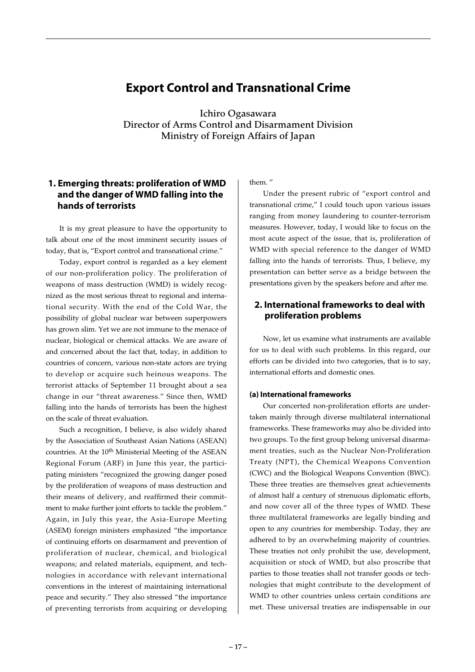# **Export Control and Transnational Crime**

**Ichiro Ogasawara Director of Arms Control and Disarmament Division Ministry of Foreign Affairs of Japan**

# **1. Emerging threats: proliferation of WMD and the danger of WMD falling into the hands of terrorists**

It is my great pleasure to have the opportunity to talk about one of the most imminent security issues of today, that is, "Export control and transnational crime."

Today, export control is regarded as a key element of our non-proliferation policy. The proliferation of weapons of mass destruction (WMD) is widely recognized as the most serious threat to regional and international security. With the end of the Cold War, the possibility of global nuclear war between superpowers has grown slim. Yet we are not immune to the menace of nuclear, biological or chemical attacks. We are aware of and concerned about the fact that, today, in addition to countries of concern, various non-state actors are trying to develop or acquire such heinous weapons. The terrorist attacks of September 11 brought about a sea change in our "threat awareness." Since then, WMD falling into the hands of terrorists has been the highest on the scale of threat evaluation.

Such a recognition, I believe, is also widely shared by the Association of Southeast Asian Nations (ASEAN) countries. At the 10<sup>th</sup> Ministerial Meeting of the ASEAN Regional Forum (ARF) in June this year, the participating ministers "recognized the growing danger posed by the proliferation of weapons of mass destruction and their means of delivery, and reaffirmed their commitment to make further joint efforts to tackle the problem." Again, in July this year, the Asia-Europe Meeting (ASEM) foreign ministers emphasized "the importance of continuing efforts on disarmament and prevention of proliferation of nuclear, chemical, and biological weapons; and related materials, equipment, and technologies in accordance with relevant international conventions in the interest of maintaining international peace and security." They also stressed "the importance of preventing terrorists from acquiring or developing them. "

Under the present rubric of "export control and transnational crime," I could touch upon various issues ranging from money laundering to counter-terrorism measures. However, today, I would like to focus on the most acute aspect of the issue, that is, proliferation of WMD with special reference to the danger of WMD falling into the hands of terrorists. Thus, I believe, my presentation can better serve as a bridge between the presentations given by the speakers before and after me.

# **2. International frameworks to deal with proliferation problems**

Now, let us examine what instruments are available for us to deal with such problems. In this regard, our efforts can be divided into two categories, that is to say, international efforts and domestic ones.

#### **(a) International frameworks**

Our concerted non-proliferation efforts are undertaken mainly through diverse multilateral international frameworks. These frameworks may also be divided into two groups. To the first group belong universal disarmament treaties, such as the Nuclear Non-Proliferation Treaty (NPT), the Chemical Weapons Convention (CWC) and the Biological Weapons Convention (BWC). These three treaties are themselves great achievements of almost half a century of strenuous diplomatic efforts, and now cover all of the three types of WMD. These three multilateral frameworks are legally binding and open to any countries for membership. Today, they are adhered to by an overwhelming majority of countries. These treaties not only prohibit the use, development, acquisition or stock of WMD, but also proscribe that parties to those treaties shall not transfer goods or technologies that might contribute to the development of WMD to other countries unless certain conditions are met. These universal treaties are indispensable in our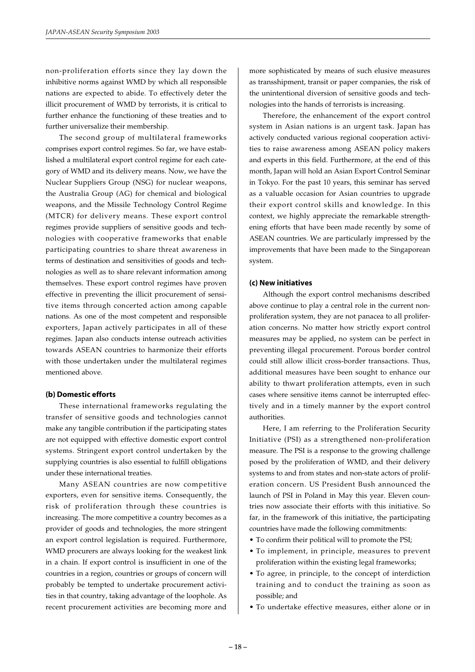non-proliferation efforts since they lay down the inhibitive norms against WMD by which all responsible nations are expected to abide. To effectively deter the illicit procurement of WMD by terrorists, it is critical to further enhance the functioning of these treaties and to further universalize their membership.

The second group of multilateral frameworks comprises export control regimes. So far, we have established a multilateral export control regime for each category of WMD and its delivery means. Now, we have the Nuclear Suppliers Group (NSG) for nuclear weapons, the Australia Group (AG) for chemical and biological weapons, and the Missile Technology Control Regime (MTCR) for delivery means. These export control regimes provide suppliers of sensitive goods and technologies with cooperative frameworks that enable participating countries to share threat awareness in terms of destination and sensitivities of goods and technologies as well as to share relevant information among themselves. These export control regimes have proven effective in preventing the illicit procurement of sensitive items through concerted action among capable nations. As one of the most competent and responsible exporters, Japan actively participates in all of these regimes. Japan also conducts intense outreach activities towards ASEAN countries to harmonize their efforts with those undertaken under the multilateral regimes mentioned above.

#### **(b) Domestic efforts**

These international frameworks regulating the transfer of sensitive goods and technologies cannot make any tangible contribution if the participating states are not equipped with effective domestic export control systems. Stringent export control undertaken by the supplying countries is also essential to fulfill obligations under these international treaties.

Many ASEAN countries are now competitive exporters, even for sensitive items. Consequently, the risk of proliferation through these countries is increasing. The more competitive a country becomes as a provider of goods and technologies, the more stringent an export control legislation is required. Furthermore, WMD procurers are always looking for the weakest link in a chain. If export control is insufficient in one of the countries in a region, countries or groups of concern will probably be tempted to undertake procurement activities in that country, taking advantage of the loophole. As recent procurement activities are becoming more and

more sophisticated by means of such elusive measures as transshipment, transit or paper companies, the risk of the unintentional diversion of sensitive goods and technologies into the hands of terrorists is increasing.

Therefore, the enhancement of the export control system in Asian nations is an urgent task. Japan has actively conducted various regional cooperation activities to raise awareness among ASEAN policy makers and experts in this field. Furthermore, at the end of this month, Japan will hold an Asian Export Control Seminar in Tokyo. For the past 10 years, this seminar has served as a valuable occasion for Asian countries to upgrade their export control skills and knowledge. In this context, we highly appreciate the remarkable strengthening efforts that have been made recently by some of ASEAN countries. We are particularly impressed by the improvements that have been made to the Singaporean system.

#### **(c) New initiatives**

Although the export control mechanisms described above continue to play a central role in the current nonproliferation system, they are not panacea to all proliferation concerns. No matter how strictly export control measures may be applied, no system can be perfect in preventing illegal procurement. Porous border control could still allow illicit cross-border transactions. Thus, additional measures have been sought to enhance our ability to thwart proliferation attempts, even in such cases where sensitive items cannot be interrupted effectively and in a timely manner by the export control authorities.

Here, I am referring to the Proliferation Security Initiative (PSI) as a strengthened non-proliferation measure. The PSI is a response to the growing challenge posed by the proliferation of WMD, and their delivery systems to and from states and non-state actors of proliferation concern. US President Bush announced the launch of PSI in Poland in May this year. Eleven countries now associate their efforts with this initiative. So far, in the framework of this initiative, the participating countries have made the following commitments:

- To confirm their political will to promote the PSI;
- To implement, in principle, measures to prevent proliferation within the existing legal frameworks;
- To agree, in principle, to the concept of interdiction training and to conduct the training as soon as possible; and
- To undertake effective measures, either alone or in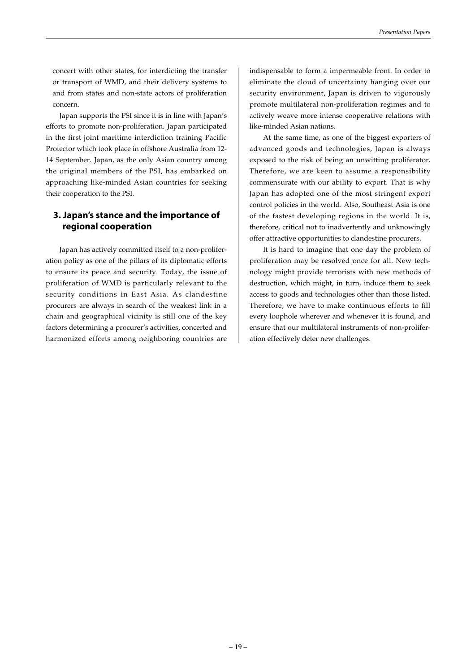concert with other states, for interdicting the transfer or transport of WMD, and their delivery systems to and from states and non-state actors of proliferation concern.

Japan supports the PSI since it is in line with Japan's efforts to promote non-proliferation. Japan participated in the first joint maritime interdiction training Pacific Protector which took place in offshore Australia from 12- 14 September. Japan, as the only Asian country among the original members of the PSI, has embarked on approaching like-minded Asian countries for seeking their cooperation to the PSI.

# **3. Japan's stance and the importance of regional cooperation**

Japan has actively committed itself to a non-proliferation policy as one of the pillars of its diplomatic efforts to ensure its peace and security. Today, the issue of proliferation of WMD is particularly relevant to the security conditions in East Asia. As clandestine procurers are always in search of the weakest link in a chain and geographical vicinity is still one of the key factors determining a procurer's activities, concerted and harmonized efforts among neighboring countries are indispensable to form a impermeable front. In order to eliminate the cloud of uncertainty hanging over our security environment, Japan is driven to vigorously promote multilateral non-proliferation regimes and to actively weave more intense cooperative relations with like-minded Asian nations.

At the same time, as one of the biggest exporters of advanced goods and technologies, Japan is always exposed to the risk of being an unwitting proliferator. Therefore, we are keen to assume a responsibility commensurate with our ability to export. That is why Japan has adopted one of the most stringent export control policies in the world. Also, Southeast Asia is one of the fastest developing regions in the world. It is, therefore, critical not to inadvertently and unknowingly offer attractive opportunities to clandestine procurers.

It is hard to imagine that one day the problem of proliferation may be resolved once for all. New technology might provide terrorists with new methods of destruction, which might, in turn, induce them to seek access to goods and technologies other than those listed. Therefore, we have to make continuous efforts to fill every loophole wherever and whenever it is found, and ensure that our multilateral instruments of non-proliferation effectively deter new challenges.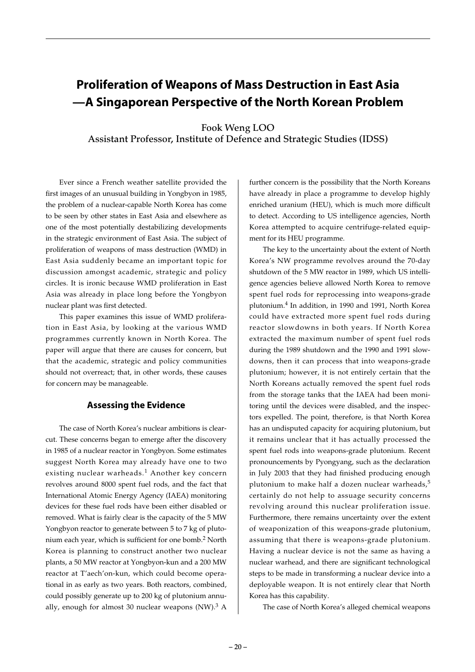# **Proliferation of Weapons of Mass Destruction in East Asia —A Singaporean Perspective of the North Korean Problem**

**Fook Weng LOO Assistant Professor, Institute of Defence and Strategic Studies (IDSS)**

Ever since a French weather satellite provided the first images of an unusual building in Yongbyon in 1985, the problem of a nuclear-capable North Korea has come to be seen by other states in East Asia and elsewhere as one of the most potentially destabilizing developments in the strategic environment of East Asia. The subject of proliferation of weapons of mass destruction (WMD) in East Asia suddenly became an important topic for discussion amongst academic, strategic and policy circles. It is ironic because WMD proliferation in East Asia was already in place long before the Yongbyon nuclear plant was first detected.

This paper examines this issue of WMD proliferation in East Asia, by looking at the various WMD programmes currently known in North Korea. The paper will argue that there are causes for concern, but that the academic, strategic and policy communities should not overreact; that, in other words, these causes for concern may be manageable.

## **Assessing the Evidence**

The case of North Korea's nuclear ambitions is clearcut. These concerns began to emerge after the discovery in 1985 of a nuclear reactor in Yongbyon. Some estimates suggest North Korea may already have one to two existing nuclear warheads.<sup>1</sup> Another key concern revolves around 8000 spent fuel rods, and the fact that International Atomic Energy Agency (IAEA) monitoring devices for these fuel rods have been either disabled or removed. What is fairly clear is the capacity of the 5 MW Yongbyon reactor to generate between 5 to 7 kg of plutonium each year, which is sufficient for one bomb.2 North Korea is planning to construct another two nuclear plants, a 50 MW reactor at Yongbyon-kun and a 200 MW reactor at T'aech'on-kun, which could become operational in as early as two years. Both reactors, combined, could possibly generate up to 200 kg of plutonium annually, enough for almost 30 nuclear weapons  $(NW).<sup>3</sup> A$  further concern is the possibility that the North Koreans have already in place a programme to develop highly enriched uranium (HEU), which is much more difficult to detect. According to US intelligence agencies, North Korea attempted to acquire centrifuge-related equipment for its HEU programme.

The key to the uncertainty about the extent of North Korea's NW programme revolves around the 70-day shutdown of the 5 MW reactor in 1989, which US intelligence agencies believe allowed North Korea to remove spent fuel rods for reprocessing into weapons-grade plutonium.<sup>4</sup> In addition, in 1990 and 1991, North Korea could have extracted more spent fuel rods during reactor slowdowns in both years. If North Korea extracted the maximum number of spent fuel rods during the 1989 shutdown and the 1990 and 1991 slowdowns, then it can process that into weapons-grade plutonium; however, it is not entirely certain that the North Koreans actually removed the spent fuel rods from the storage tanks that the IAEA had been monitoring until the devices were disabled, and the inspectors expelled. The point, therefore, is that North Korea has an undisputed capacity for acquiring plutonium, but it remains unclear that it has actually processed the spent fuel rods into weapons-grade plutonium. Recent pronouncements by Pyongyang, such as the declaration in July 2003 that they had finished producing enough plutonium to make half a dozen nuclear warheads,<sup>5</sup> certainly do not help to assuage security concerns revolving around this nuclear proliferation issue. Furthermore, there remains uncertainty over the extent of weaponization of this weapons-grade plutonium, assuming that there is weapons-grade plutonium. Having a nuclear device is not the same as having a nuclear warhead, and there are significant technological steps to be made in transforming a nuclear device into a deployable weapon. It is not entirely clear that North Korea has this capability.

The case of North Korea's alleged chemical weapons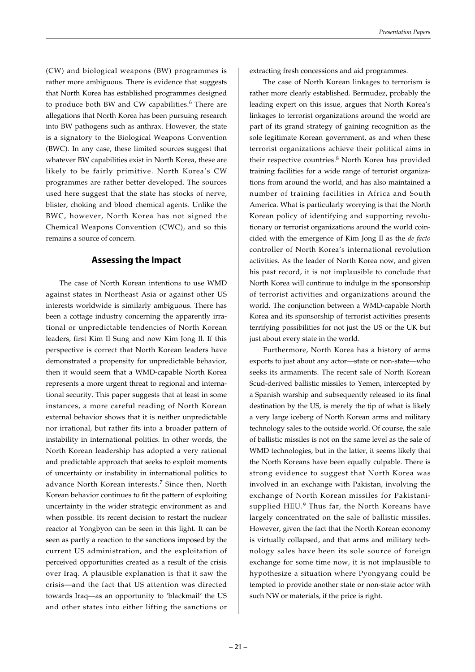(CW) and biological weapons (BW) programmes is rather more ambiguous. There is evidence that suggests that North Korea has established programmes designed to produce both BW and CW capabilities.<sup>6</sup> There are allegations that North Korea has been pursuing research into BW pathogens such as anthrax. However, the state is a signatory to the Biological Weapons Convention (BWC). In any case, these limited sources suggest that whatever BW capabilities exist in North Korea, these are likely to be fairly primitive. North Korea's CW programmes are rather better developed. The sources used here suggest that the state has stocks of nerve, blister, choking and blood chemical agents. Unlike the BWC, however, North Korea has not signed the Chemical Weapons Convention (CWC), and so this remains a source of concern.

## **Assessing the Impact**

The case of North Korean intentions to use WMD against states in Northeast Asia or against other US interests worldwide is similarly ambiguous. There has been a cottage industry concerning the apparently irrational or unpredictable tendencies of North Korean leaders, first Kim Il Sung and now Kim Jong Il. If this perspective is correct that North Korean leaders have demonstrated a propensity for unpredictable behavior, then it would seem that a WMD-capable North Korea represents a more urgent threat to regional and international security. This paper suggests that at least in some instances, a more careful reading of North Korean external behavior shows that it is neither unpredictable nor irrational, but rather fits into a broader pattern of instability in international politics. In other words, the North Korean leadership has adopted a very rational and predictable approach that seeks to exploit moments of uncertainty or instability in international politics to advance North Korean interests.<sup>7</sup> Since then, North Korean behavior continues to fit the pattern of exploiting uncertainty in the wider strategic environment as and when possible. Its recent decision to restart the nuclear reactor at Yongbyon can be seen in this light. It can be seen as partly a reaction to the sanctions imposed by the current US administration, and the exploitation of perceived opportunities created as a result of the crisis over Iraq. A plausible explanation is that it saw the crisis—and the fact that US attention was directed towards Iraq—as an opportunity to 'blackmail' the US and other states into either lifting the sanctions or

extracting fresh concessions and aid programmes.

The case of North Korean linkages to terrorism is rather more clearly established. Bermudez, probably the leading expert on this issue, argues that North Korea's linkages to terrorist organizations around the world are part of its grand strategy of gaining recognition as the sole legitimate Korean government, as and when these terrorist organizations achieve their political aims in their respective countries.<sup>8</sup> North Korea has provided training facilities for a wide range of terrorist organizations from around the world, and has also maintained a number of training facilities in Africa and South America. What is particularly worrying is that the North Korean policy of identifying and supporting revolutionary or terrorist organizations around the world coincided with the emergence of Kim Jong Il as the *de facto* controller of North Korea's international revolution activities. As the leader of North Korea now, and given his past record, it is not implausible to conclude that North Korea will continue to indulge in the sponsorship of terrorist activities and organizations around the world. The conjunction between a WMD-capable North Korea and its sponsorship of terrorist activities presents terrifying possibilities for not just the US or the UK but just about every state in the world.

Furthermore, North Korea has a history of arms exports to just about any actor—state or non-state—who seeks its armaments. The recent sale of North Korean Scud-derived ballistic missiles to Yemen, intercepted by a Spanish warship and subsequently released to its final destination by the US, is merely the tip of what is likely a very large iceberg of North Korean arms and military technology sales to the outside world. Of course, the sale of ballistic missiles is not on the same level as the sale of WMD technologies, but in the latter, it seems likely that the North Koreans have been equally culpable. There is strong evidence to suggest that North Korea was involved in an exchange with Pakistan, involving the exchange of North Korean missiles for Pakistanisupplied HEU.<sup>9</sup> Thus far, the North Koreans have largely concentrated on the sale of ballistic missiles. However, given the fact that the North Korean economy is virtually collapsed, and that arms and military technology sales have been its sole source of foreign exchange for some time now, it is not implausible to hypothesize a situation where Pyongyang could be tempted to provide another state or non-state actor with such NW or materials, if the price is right.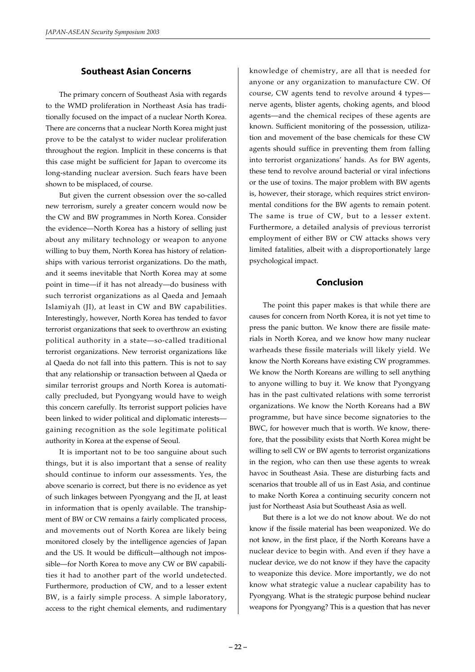#### **Southeast Asian Concerns**

The primary concern of Southeast Asia with regards to the WMD proliferation in Northeast Asia has traditionally focused on the impact of a nuclear North Korea. There are concerns that a nuclear North Korea might just prove to be the catalyst to wider nuclear proliferation throughout the region. Implicit in these concerns is that this case might be sufficient for Japan to overcome its long-standing nuclear aversion. Such fears have been shown to be misplaced, of course.

But given the current obsession over the so-called new terrorism, surely a greater concern would now be the CW and BW programmes in North Korea. Consider the evidence—North Korea has a history of selling just about any military technology or weapon to anyone willing to buy them, North Korea has history of relationships with various terrorist organizations. Do the math, and it seems inevitable that North Korea may at some point in time—if it has not already—do business with such terrorist organizations as al Qaeda and Jemaah Islamiyah (JI), at least in CW and BW capabilities. Interestingly, however, North Korea has tended to favor terrorist organizations that seek to overthrow an existing political authority in a state—so-called traditional terrorist organizations. New terrorist organizations like al Qaeda do not fall into this pattern. This is not to say that any relationship or transaction between al Qaeda or similar terrorist groups and North Korea is automatically precluded, but Pyongyang would have to weigh this concern carefully. Its terrorist support policies have been linked to wider political and diplomatic interests gaining recognition as the sole legitimate political authority in Korea at the expense of Seoul.

It is important not to be too sanguine about such things, but it is also important that a sense of reality should continue to inform our assessments. Yes, the above scenario is correct, but there is no evidence as yet of such linkages between Pyongyang and the JI, at least in information that is openly available. The transhipment of BW or CW remains a fairly complicated process, and movements out of North Korea are likely being monitored closely by the intelligence agencies of Japan and the US. It would be difficult—although not impossible—for North Korea to move any CW or BW capabilities it had to another part of the world undetected. Furthermore, production of CW, and to a lesser extent BW, is a fairly simple process. A simple laboratory, access to the right chemical elements, and rudimentary knowledge of chemistry, are all that is needed for anyone or any organization to manufacture CW. Of course, CW agents tend to revolve around 4 types nerve agents, blister agents, choking agents, and blood agents—and the chemical recipes of these agents are known. Sufficient monitoring of the possession, utilization and movement of the base chemicals for these CW agents should suffice in preventing them from falling into terrorist organizations' hands. As for BW agents, these tend to revolve around bacterial or viral infections or the use of toxins. The major problem with BW agents is, however, their storage, which requires strict environmental conditions for the BW agents to remain potent. The same is true of CW, but to a lesser extent. Furthermore, a detailed analysis of previous terrorist employment of either BW or CW attacks shows very limited fatalities, albeit with a disproportionately large psychological impact.

#### **Conclusion**

The point this paper makes is that while there are causes for concern from North Korea, it is not yet time to press the panic button. We know there are fissile materials in North Korea, and we know how many nuclear warheads these fissile materials will likely yield. We know the North Koreans have existing CW programmes. We know the North Koreans are willing to sell anything to anyone willing to buy it. We know that Pyongyang has in the past cultivated relations with some terrorist organizations. We know the North Koreans had a BW programme, but have since become signatories to the BWC, for however much that is worth. We know, therefore, that the possibility exists that North Korea might be willing to sell CW or BW agents to terrorist organizations in the region, who can then use these agents to wreak havoc in Southeast Asia. These are disturbing facts and scenarios that trouble all of us in East Asia, and continue to make North Korea a continuing security concern not just for Northeast Asia but Southeast Asia as well.

But there is a lot we do not know about. We do not know if the fissile material has been weaponized. We do not know, in the first place, if the North Koreans have a nuclear device to begin with. And even if they have a nuclear device, we do not know if they have the capacity to weaponize this device. More importantly, we do not know what strategic value a nuclear capability has to Pyongyang. What is the strategic purpose behind nuclear weapons for Pyongyang? This is a question that has never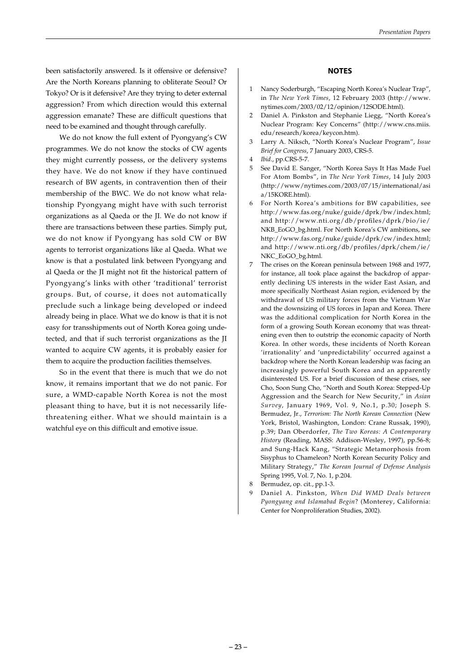been satisfactorily answered. Is it offensive or defensive? Are the North Koreans planning to obliterate Seoul? Or Tokyo? Or is it defensive? Are they trying to deter external aggression? From which direction would this external aggression emanate? These are difficult questions that need to be examined and thought through carefully.

We do not know the full extent of Pyongyang's CW programmes. We do not know the stocks of CW agents they might currently possess, or the delivery systems they have. We do not know if they have continued research of BW agents, in contravention then of their membership of the BWC. We do not know what relationship Pyongyang might have with such terrorist organizations as al Qaeda or the JI. We do not know if there are transactions between these parties. Simply put, we do not know if Pyongyang has sold CW or BW agents to terrorist organizations like al Qaeda. What we know is that a postulated link between Pyongyang and al Qaeda or the JI might not fit the historical pattern of Pyongyang's links with other 'traditional' terrorist groups. But, of course, it does not automatically preclude such a linkage being developed or indeed already being in place. What we do know is that it is not easy for transshipments out of North Korea going undetected, and that if such terrorist organizations as the JI wanted to acquire CW agents, it is probably easier for them to acquire the production facilities themselves.

So in the event that there is much that we do not know, it remains important that we do not panic. For sure, a WMD-capable North Korea is not the most pleasant thing to have, but it is not necessarily lifethreatening either. What we should maintain is a watchful eye on this difficult and emotive issue.

#### **NOTES**

- 1 Nancy Soderburgh, "Escaping North Korea's Nuclear Trap", in *The New York Times*, 12 February 2003 (http://www. nytimes.com/2003/02/12/opinion/12SODE.html).
- 2 Daniel A. Pinkston and Stephanie Liegg, "North Korea's Nuclear Program: Key Concerns" (http://www.cns.miis. edu/research/korea/keycon.htm).
- 3 Larry A. Niksch, "North Korea's Nuclear Program", *Issue Brief for Congress*, 7 January 2003, CRS-5.
- 4 *Ibid*., pp.CRS-5-7.
- 5 See David E. Sanger, "North Korea Says It Has Made Fuel For Atom Bombs", in *The New York Times*, 14 July 2003 (http://www/nytimes.com/2003/07/15/international/asi a/15KORE.html).
- 6 For North Korea's ambitions for BW capabilities, see http://www.fas.org/nuke/guide/dprk/bw/index.html; and http://www.nti.org/db/profiles/dprk/bio/ie/ NKB\_EoGO\_bg.html. For North Korea's CW ambitions, see http://www.fas.org/nuke/guide/dprk/cw/index.html; and http://www.nti.org/db/profiles/dprk/chem/ie/ NKC\_EoGO\_bg.html.
- 7 The crises on the Korean peninsula between 1968 and 1977, for instance, all took place against the backdrop of apparently declining US interests in the wider East Asian, and more specifically Northeast Asian region, evidenced by the withdrawal of US military forces from the Vietnam War and the downsizing of US forces in Japan and Korea. There was the additional complication for North Korea in the form of a growing South Korean economy that was threatening even then to outstrip the economic capacity of North Korea. In other words, these incidents of North Korean 'irrationality' and 'unpredictability' occurred against a backdrop where the North Korean leadership was facing an increasingly powerful South Korea and an apparently disinterested US. For a brief discussion of these crises, see Cho, Soon Sung Cho, "North and South Korea: Stepped-Up Aggression and the Search for New Security," in *Asian Survey*, January 1969, Vol. 9, No.1, p.30; Joseph S. Bermudez, Jr., *Terrorism: The North Korean Connection* (New York, Bristol, Washington, London: Crane Russak, 1990), p.39; Dan Oberdorfer, *The Two Koreas: A Contemporary History* (Reading, MASS: Addison-Wesley, 1997), pp.56-8; and Sung-Hack Kang, "Strategic Metamorphosis from Sisyphus to Chameleon? North Korean Security Policy and Military Strategy," *The Korean Journal of Defense Analysis* Spring 1995, Vol. 7, No. 1, p.204.

9 Daniel A. Pinkston, *When Did WMD Deals between Pyongyang and Islamabad Begin*? (Monterey, California: Center for Nonproliferation Studies, 2002).

<sup>8</sup> Bermudez, op. cit., pp.1-3.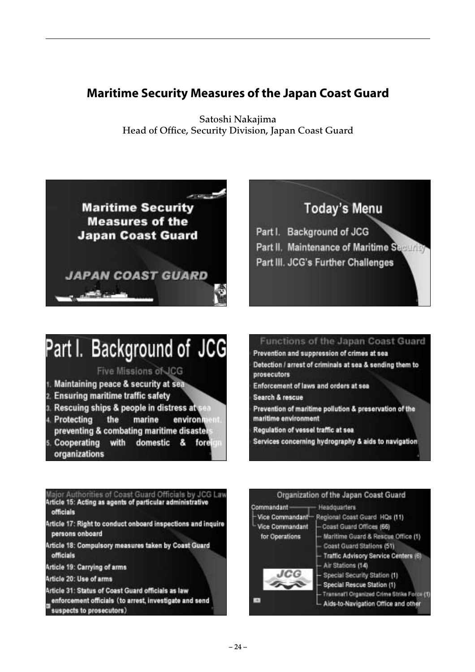# **Maritime Security Measures of the Japan Coast Guard**

Satoshi Nakajima Head of Office, Security Division, Japan Coast Guard



**Today's Menu** 

Part I. Background of JCG Part II. Maintenance of Maritime Security, Part III. JCG's Further Challenges

# Part I. Background of JCG

Five Missions of JCG

- 1. Maintaining peace & security at sea
- 2. Ensuring maritime traffic safety
- 3. Rescuing ships & people in distress at a
- 4. Protecting the marine environmen
- preventing & combating maritime disaster å. fore
- 5. Cooperating with domestic organizations

Functions of the Japan Coast Guard Prevention and suppression of crimes at sea Detection / arrest of criminals at sea & sending them to prosecutors Enforcement of laws and orders at sea Search & rescue Prevention of maritime pollution & preservation of the maritime environment Regulation of vessel traffic at sea

Services concerning hydrography & aids to navigation

Major Authorities of Coast Guard Officials by JCG Law Article 15: Acting as agents of particular administrative officials Article 17: Right to conduct onboard inspections and inquire persons onboard

Article 18: Compulsory measures taken by Coast Guard officials

- Article 19: Carrying of arms
- Article 20: Use of arms

Article 31: Status of Coast Guard officials as law enforcement officials (to arrest, investigate and send suspects to prosecutors)

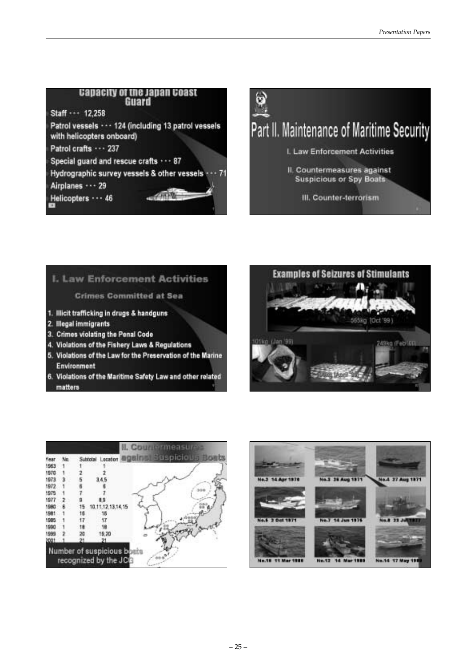

# Part II. Maintenance of Maritime Security I. Law Enforcement Activities

- II. Countermeasures against **Suspicious or Spy Boats** 
	- III. Counter-terrorism

# **I. Law Enforcement Activities**

#### **Crimes Committed at Sea**

- 1. Illicit trafficking in drugs & handguns
- 2. Illegal immigrants
- 3. Crimes violating the Penal Code
- 4. Violations of the Fishery Laws & Regulations
- 5. Violations of the Law for the Preservation of the Marine Environment
- 6. Violations of the Maritime Safety Law and other related matters





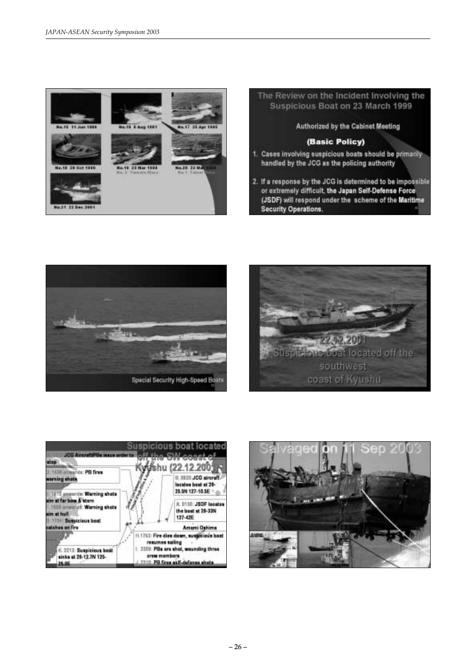

# The Review on the Incident Involving the Suspicious Boat on 23 March 1999

Authorized by the Cabinet Meeting

#### (Basic Policy)

- 1. Cases involving suspicious boats should be primarily handled by the JCG as the policing authority
- 2. If a response by the JCG is determined to be impossible or extremely difficult, the Japan Self-Defense Force (JSDF) will respond under the scheme of the Maritime **Security Operations.**







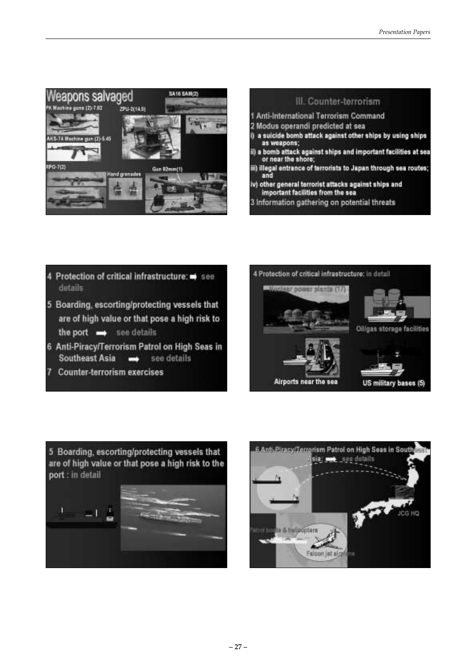

# III. Counter-terrorism

1 Anti-International Terrorism Command

2 Modus operandi predicted at sea

- i) a suicide bomb attack against other ships by using ships as weapons;
- ii) a bomb attack against ships and important facilities at sea or near the shore:
- iii) illegal entrance of terrorists to Japan through sea routes; and
- iv) other general terrorist attacks against ships and important facilities from the sea
- 3 Information gathering on potential threats

- 4 Protection of critical infrastructure: see details
- 5 Boarding, escorting/protecting vessels that are of high value or that pose a high risk to the port  $\longrightarrow$  see details
- 6 Anti-Piracy/Terrorism Patrol on High Seas in **Southeast Asia** J see details
- 7 Counter-terrorism exercises





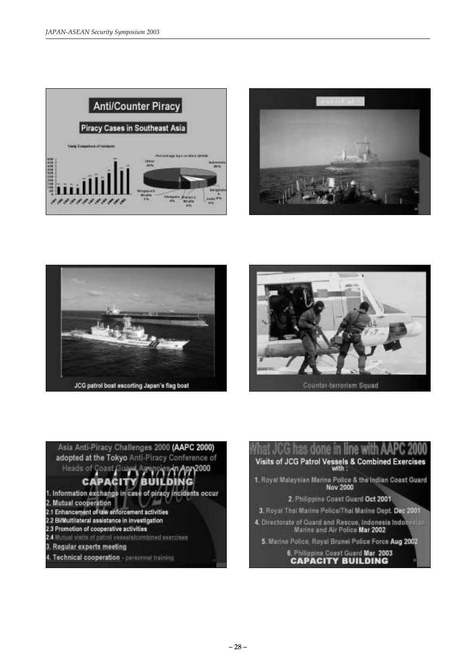







Asia Anti-Piracy Challenges 2000 (AAPC 2000) adopted at the Tokyo Anti-Piracy Conference of pr\2000 **Heads of Coast CAPACITY** DING BUIL 1. Information exchange in case of piracy incidents occur 2. Mutual cooperation 21 Enhancement of law enforcement activities<br>2.2 Bi/Wulti ateral assistance in investigation

- 
- 2.3 Promotion of cooperative activities
- 2.4 Mutual visits of patrol vessels/combined exercises
- 3. Regular experts meeting
- 4. Technical cooperation personnel training

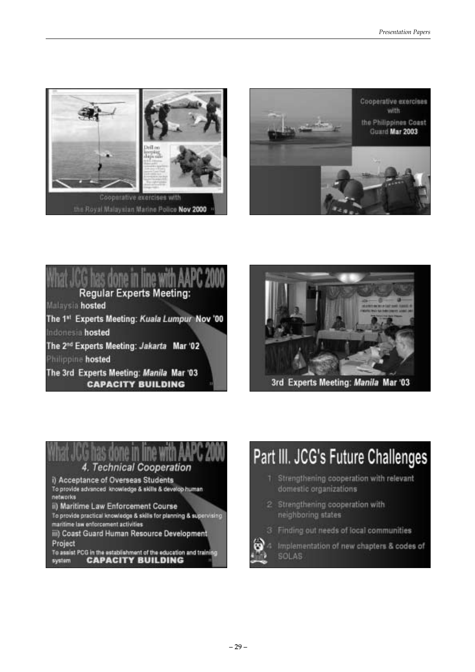







# 4. Technical Cooperation

#### i) Acceptance of Overseas Students

To provide advanced knowledge & skills & develop human networks

ii) Maritime Law Enforcement Course

To provide practical knowledge & skills for planning & supervising<br>maritime law enforcement activities

iii) Coast Guard Human Resource Development Project

To assist PCG in the establishment of the education and training **CAPACITY BUILDING** system

# Part III. JCG's Future Challenges

- 1 Strengthening cooperation with relevant domestic organizations
- 2 Strengthening cooperation with neighboring states
- 3 Finding out needs of local communities

Implementation of new chapters & codes of SOLAS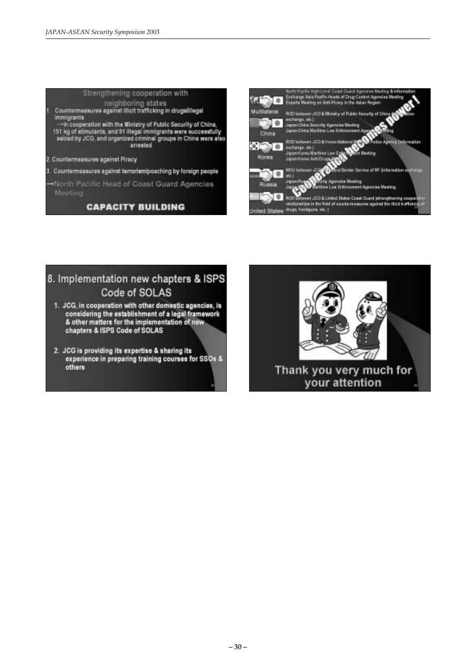司

# Strengthening cooperation with neighboring states<br>Countermeasures against illicit trafficking in drugsfillegal immigrants -In cooperation with the Ministry of Public Security of China<br>151 kg of stimulants, and 91 illegal immigrants were successfully<br>seized by JCG, and organized criminal groups in China were also arrested 2. Countermeasures against Piracy Countermeasures against terrorism/poaching by foreign people North Pacific Head of Coast Guard Agencies

Meeting

**CAPACITY BUILDING** 



# 8. Implementation new chapters & ISPS Code of SOLAS

- 1. JCG, in cooperation with other domestic agencies, is considering the establishment of a legal framework<br>& other matters for the implementation of new<br>chapters & ISPS Code of SOLAS
- 2. JCG is providing its expertise & sharing its experience in preparing training courses for SSOs & others

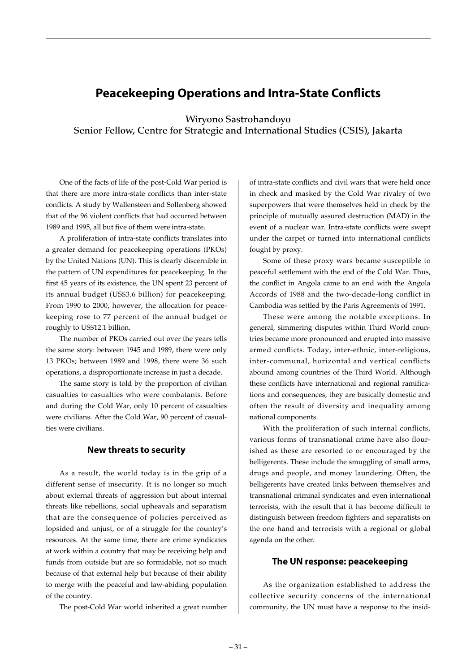# **Peacekeeping Operations and Intra-State Conflicts**

**Wiryono Sastrohandoyo Senior Fellow, Centre for Strategic and International Studies (CSIS), Jakarta**

One of the facts of life of the post-Cold War period is that there are more intra-state conflicts than inter-state conflicts. A study by Wallensteen and Sollenberg showed that of the 96 violent conflicts that had occurred between 1989 and 1995, all but five of them were intra-state.

A proliferation of intra-state conflicts translates into a greater demand for peacekeeping operations (PKOs) by the United Nations (UN). This is clearly discernible in the pattern of UN expenditures for peacekeeping. In the first 45 years of its existence, the UN spent 23 percent of its annual budget (US\$3.6 billion) for peacekeeping. From 1990 to 2000, however, the allocation for peacekeeping rose to 77 percent of the annual budget or roughly to US\$12.1 billion.

The number of PKOs carried out over the years tells the same story: between 1945 and 1989, there were only 13 PKOs; between 1989 and 1998, there were 36 such operations, a disproportionate increase in just a decade.

The same story is told by the proportion of civilian casualties to casualties who were combatants. Before and during the Cold War, only 10 percent of casualties were civilians. After the Cold War, 90 percent of casualties were civilians.

#### **New threats to security**

As a result, the world today is in the grip of a different sense of insecurity. It is no longer so much about external threats of aggression but about internal threats like rebellions, social upheavals and separatism that are the consequence of policies perceived as lopsided and unjust, or of a struggle for the country's resources. At the same time, there are crime syndicates at work within a country that may be receiving help and funds from outside but are so formidable, not so much because of that external help but because of their ability to merge with the peaceful and law-abiding population of the country.

The post-Cold War world inherited a great number

of intra-state conflicts and civil wars that were held once in check and masked by the Cold War rivalry of two superpowers that were themselves held in check by the principle of mutually assured destruction (MAD) in the event of a nuclear war. Intra-state conflicts were swept under the carpet or turned into international conflicts fought by proxy.

Some of these proxy wars became susceptible to peaceful settlement with the end of the Cold War. Thus, the conflict in Angola came to an end with the Angola Accords of 1988 and the two-decade-long conflict in Cambodia was settled by the Paris Agreements of 1991.

These were among the notable exceptions. In general, simmering disputes within Third World countries became more pronounced and erupted into massive armed conflicts. Today, inter-ethnic, inter-religious, inter-communal, horizontal and vertical conflicts abound among countries of the Third World. Although these conflicts have international and regional ramifications and consequences, they are basically domestic and often the result of diversity and inequality among national components.

With the proliferation of such internal conflicts, various forms of transnational crime have also flourished as these are resorted to or encouraged by the belligerents. These include the smuggling of small arms, drugs and people, and money laundering. Often, the belligerents have created links between themselves and transnational criminal syndicates and even international terrorists, with the result that it has become difficult to distinguish between freedom fighters and separatists on the one hand and terrorists with a regional or global agenda on the other.

## **The UN response: peacekeeping**

As the organization established to address the collective security concerns of the international community, the UN must have a response to the insid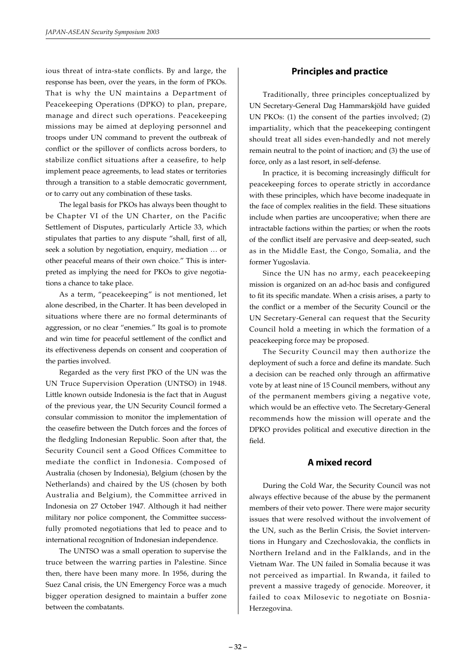ious threat of intra-state conflicts. By and large, the response has been, over the years, in the form of PKOs. That is why the UN maintains a Department of Peacekeeping Operations (DPKO) to plan, prepare, manage and direct such operations. Peacekeeping missions may be aimed at deploying personnel and troops under UN command to prevent the outbreak of conflict or the spillover of conflicts across borders, to stabilize conflict situations after a ceasefire, to help implement peace agreements, to lead states or territories through a transition to a stable democratic government, or to carry out any combination of these tasks.

The legal basis for PKOs has always been thought to be Chapter VI of the UN Charter, on the Pacific Settlement of Disputes, particularly Article 33, which stipulates that parties to any dispute "shall, first of all, seek a solution by negotiation, enquiry, mediation … or other peaceful means of their own choice." This is interpreted as implying the need for PKOs to give negotiations a chance to take place.

As a term, "peacekeeping" is not mentioned, let alone described, in the Charter. It has been developed in situations where there are no formal determinants of aggression, or no clear "enemies." Its goal is to promote and win time for peaceful settlement of the conflict and its effectiveness depends on consent and cooperation of the parties involved.

Regarded as the very first PKO of the UN was the UN Truce Supervision Operation (UNTSO) in 1948. Little known outside Indonesia is the fact that in August of the previous year, the UN Security Council formed a consular commission to monitor the implementation of the ceasefire between the Dutch forces and the forces of the fledgling Indonesian Republic. Soon after that, the Security Council sent a Good Offices Committee to mediate the conflict in Indonesia. Composed of Australia (chosen by Indonesia), Belgium (chosen by the Netherlands) and chaired by the US (chosen by both Australia and Belgium), the Committee arrived in Indonesia on 27 October 1947. Although it had neither military nor police component, the Committee successfully promoted negotiations that led to peace and to international recognition of Indonesian independence.

The UNTSO was a small operation to supervise the truce between the warring parties in Palestine. Since then, there have been many more. In 1956, during the Suez Canal crisis, the UN Emergency Force was a much bigger operation designed to maintain a buffer zone between the combatants.

# **Principles and practice**

Traditionally, three principles conceptualized by UN Secretary-General Dag Hammarskjöld have guided UN PKOs: (1) the consent of the parties involved; (2) impartiality, which that the peacekeeping contingent should treat all sides even-handedly and not merely remain neutral to the point of inaction; and (3) the use of force, only as a last resort, in self-defense.

In practice, it is becoming increasingly difficult for peacekeeping forces to operate strictly in accordance with these principles, which have become inadequate in the face of complex realities in the field. These situations include when parties are uncooperative; when there are intractable factions within the parties; or when the roots of the conflict itself are pervasive and deep-seated, such as in the Middle East, the Congo, Somalia, and the former Yugoslavia.

Since the UN has no army, each peacekeeping mission is organized on an ad-hoc basis and configured to fit its specific mandate. When a crisis arises, a party to the conflict or a member of the Security Council or the UN Secretary-General can request that the Security Council hold a meeting in which the formation of a peacekeeping force may be proposed.

The Security Council may then authorize the deployment of such a force and define its mandate. Such a decision can be reached only through an affirmative vote by at least nine of 15 Council members, without any of the permanent members giving a negative vote, which would be an effective veto. The Secretary-General recommends how the mission will operate and the DPKO provides political and executive direction in the field.

## **A mixed record**

During the Cold War, the Security Council was not always effective because of the abuse by the permanent members of their veto power. There were major security issues that were resolved without the involvement of the UN, such as the Berlin Crisis, the Soviet interventions in Hungary and Czechoslovakia, the conflicts in Northern Ireland and in the Falklands, and in the Vietnam War. The UN failed in Somalia because it was not perceived as impartial. In Rwanda, it failed to prevent a massive tragedy of genocide. Moreover, it failed to coax Milosevic to negotiate on Bosnia-Herzegovina.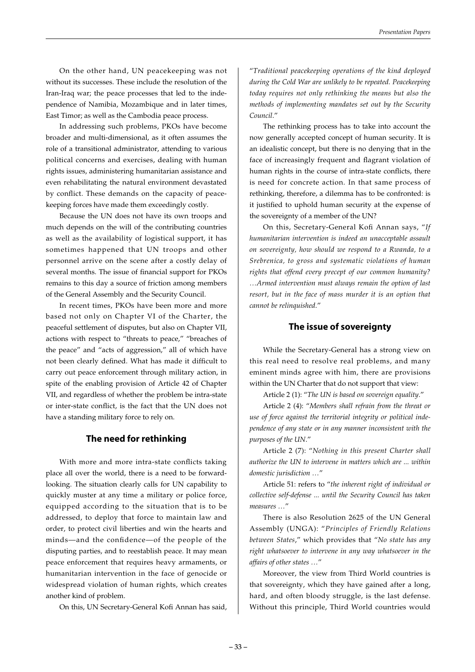On the other hand, UN peacekeeping was not without its successes. These include the resolution of the Iran-Iraq war; the peace processes that led to the independence of Namibia, Mozambique and in later times, East Timor; as well as the Cambodia peace process.

In addressing such problems, PKOs have become broader and multi-dimensional, as it often assumes the role of a transitional administrator, attending to various political concerns and exercises, dealing with human rights issues, administering humanitarian assistance and even rehabilitating the natural environment devastated by conflict. These demands on the capacity of peacekeeping forces have made them exceedingly costly.

Because the UN does not have its own troops and much depends on the will of the contributing countries as well as the availability of logistical support, it has sometimes happened that UN troops and other personnel arrive on the scene after a costly delay of several months. The issue of financial support for PKOs remains to this day a source of friction among members of the General Assembly and the Security Council.

In recent times, PKOs have been more and more based not only on Chapter VI of the Charter, the peaceful settlement of disputes, but also on Chapter VII, actions with respect to "threats to peace," "breaches of the peace" and "acts of aggression," all of which have not been clearly defined. What has made it difficult to carry out peace enforcement through military action, in spite of the enabling provision of Article 42 of Chapter VII, and regardless of whether the problem be intra-state or inter-state conflict, is the fact that the UN does not have a standing military force to rely on.

#### **The need for rethinking**

With more and more intra-state conflicts taking place all over the world, there is a need to be forwardlooking. The situation clearly calls for UN capability to quickly muster at any time a military or police force, equipped according to the situation that is to be addressed, to deploy that force to maintain law and order, to protect civil liberties and win the hearts and minds—and the confidence—of the people of the disputing parties, and to reestablish peace. It may mean peace enforcement that requires heavy armaments, or humanitarian intervention in the face of genocide or widespread violation of human rights, which creates another kind of problem.

On this, UN Secretary-General Kofi Annan has said,

"*Traditional peacekeeping operations of the kind deployed during the Cold War are unlikely to be repeated. Peacekeeping today requires not only rethinking the means but also the methods of implementing mandates set out by the Security Council*."

The rethinking process has to take into account the now generally accepted concept of human security. It is an idealistic concept, but there is no denying that in the face of increasingly frequent and flagrant violation of human rights in the course of intra-state conflicts, there is need for concrete action. In that same process of rethinking, therefore, a dilemma has to be confronted: is it justified to uphold human security at the expense of the sovereignty of a member of the UN?

On this, Secretary-General Kofi Annan says, "*If humanitarian intervention is indeed an unacceptable assault on sovereignty, how should we respond to a Rwanda, to a Srebrenica, to gross and systematic violations of human rights that offend every precept of our common humanity? …Armed intervention must always remain the option of last resort, but in the face of mass murder it is an option that cannot be relinquished*."

#### **The issue of sovereignty**

While the Secretary-General has a strong view on this real need to resolve real problems, and many eminent minds agree with him, there are provisions within the UN Charter that do not support that view:

Article 2 (1): "*The UN is based on sovereign equality*."

Article 2 (4): "*Members shall refrain from the threat or use of force against the territorial integrity or political independence of any state or in any manner inconsistent with the purposes of the UN*."

Article 2 (7): "*Nothing in this present Charter shall authorize the UN to intervene in matters which are ... within domestic jurisdiction …*"

Article 51: refers to "*the inherent right of individual or collective self-defense ... until the Security Council has taken measures …*"

There is also Resolution 2625 of the UN General Assembly (UNGA): "*Principles of Friendly Relations between States*," which provides that "*No state has any right whatsoever to intervene in any way whatsoever in the affairs of other states …*"

Moreover, the view from Third World countries is that sovereignty, which they have gained after a long, hard, and often bloody struggle, is the last defense. Without this principle, Third World countries would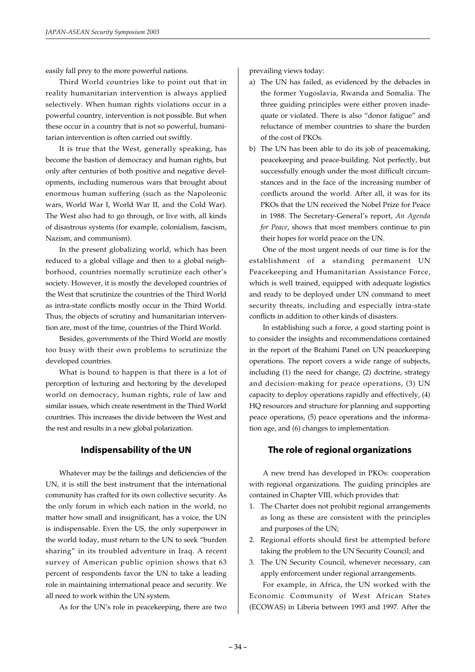easily fall prey to the more powerful nations.

Third World countries like to point out that in reality humanitarian intervention is always applied selectively. When human rights violations occur in a powerful country, intervention is not possible. But when these occur in a country that is not so powerful, humanitarian intervention is often carried out swiftly.

It is true that the West, generally speaking, has become the bastion of democracy and human rights, but only after centuries of both positive and negative developments, including numerous wars that brought about enormous human suffering (such as the Napoleonic wars, World War I, World War II, and the Cold War). The West also had to go through, or live with, all kinds of disastrous systems (for example, colonialism, fascism, Nazism, and communism).

In the present globalizing world, which has been reduced to a global village and then to a global neighborhood, countries normally scrutinize each other's society. However, it is mostly the developed countries of the West that scrutinize the countries of the Third World as intra-state conflicts mostly occur in the Third World. Thus, the objects of scrutiny and humanitarian intervention are, most of the time, countries of the Third World.

Besides, governments of the Third World are mostly too busy with their own problems to scrutinize the developed countries.

What is bound to happen is that there is a lot of perception of lecturing and hectoring by the developed world on democracy, human rights, rule of law and similar issues, which create resentment in the Third World countries. This increases the divide between the West and the rest and results in a new global polarization.

## **Indispensability of the UN**

Whatever may be the failings and deficiencies of the UN, it is still the best instrument that the international community has crafted for its own collective security. As the only forum in which each nation in the world, no matter how small and insignificant, has a voice, the UN is indispensable. Even the US, the only superpower in the world today, must return to the UN to seek "burden sharing" in its troubled adventure in Iraq. A recent survey of American public opinion shows that 63 percent of respondents favor the UN to take a leading role in maintaining international peace and security. We all need to work within the UN system.

As for the UN's role in peacekeeping, there are two

prevailing views today:

- a) The UN has failed, as evidenced by the debacles in the former Yugoslavia, Rwanda and Somalia. The three guiding principles were either proven inadequate or violated. There is also "donor fatigue" and reluctance of member countries to share the burden of the cost of PKOs.
- b) The UN has been able to do its job of peacemaking, peacekeeping and peace-building. Not perfectly, but successfully enough under the most difficult circumstances and in the face of the increasing number of conflicts around the world. After all, it was for its PKOs that the UN received the Nobel Prize for Peace in 1988. The Secretary-General's report, *An Agenda for Peace*, shows that most members continue to pin their hopes for world peace on the UN.

One of the most urgent needs of our time is for the establishment of a standing permanent UN Peacekeeping and Humanitarian Assistance Force, which is well trained, equipped with adequate logistics and ready to be deployed under UN command to meet security threats, including and especially intra-state conflicts in addition to other kinds of disasters.

In establishing such a force, a good starting point is to consider the insights and recommendations contained in the report of the Brahimi Panel on UN peacekeeping operations. The report covers a wide range of subjects, including (1) the need for change, (2) doctrine, strategy and decision-making for peace operations, (3) UN capacity to deploy operations rapidly and effectively, (4) HQ resources and structure for planning and supporting peace operations, (5) peace operations and the information age, and (6) changes to implementation.

#### **The role of regional organizations**

A new trend has developed in PKOs: cooperation with regional organizations. The guiding principles are contained in Chapter VIII, which provides that:

- 1. The Charter does not prohibit regional arrangements as long as these are consistent with the principles and purposes of the UN;
- 2. Regional efforts should first be attempted before taking the problem to the UN Security Council; and
- 3. The UN Security Council, whenever necessary, can apply enforcement under regional arrangements.

For example, in Africa, the UN worked with the Economic Community of West African States (ECOWAS) in Liberia between 1993 and 1997. After the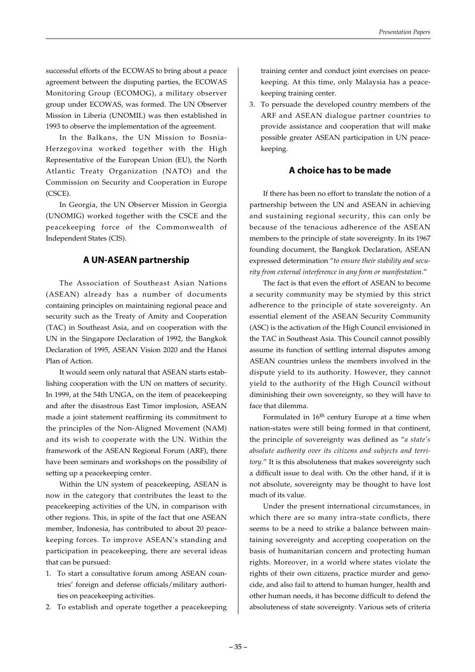successful efforts of the ECOWAS to bring about a peace agreement between the disputing parties, the ECOWAS Monitoring Group (ECOMOG), a military observer group under ECOWAS, was formed. The UN Observer Mission in Liberia (UNOMIL) was then established in 1993 to observe the implementation of the agreement.

In the Balkans, the UN Mission to Bosnia-Herzegovina worked together with the High Representative of the European Union (EU), the North Atlantic Treaty Organization (NATO) and the Commission on Security and Cooperation in Europe (CSCE).

In Georgia, the UN Observer Mission in Georgia (UNOMIG) worked together with the CSCE and the peacekeeping force of the Commonwealth of Independent States (CIS).

## **A UN-ASEAN partnership**

The Association of Southeast Asian Nations (ASEAN) already has a number of documents containing principles on maintaining regional peace and security such as the Treaty of Amity and Cooperation (TAC) in Southeast Asia, and on cooperation with the UN in the Singapore Declaration of 1992, the Bangkok Declaration of 1995, ASEAN Vision 2020 and the Hanoi Plan of Action.

It would seem only natural that ASEAN starts establishing cooperation with the UN on matters of security. In 1999, at the 54th UNGA, on the item of peacekeeping and after the disastrous East Timor implosion, ASEAN made a joint statement reaffirming its commitment to the principles of the Non-Aligned Movement (NAM) and its wish to cooperate with the UN. Within the framework of the ASEAN Regional Forum (ARF), there have been seminars and workshops on the possibility of setting up a peacekeeping center.

Within the UN system of peacekeeping, ASEAN is now in the category that contributes the least to the peacekeeping activities of the UN, in comparison with other regions. This, in spite of the fact that one ASEAN member, Indonesia, has contributed to about 20 peacekeeping forces. To improve ASEAN's standing and participation in peacekeeping, there are several ideas that can be pursued:

- 1. To start a consultative forum among ASEAN countries' foreign and defense officials/military authorities on peacekeeping activities.
- 2. To establish and operate together a peacekeeping

training center and conduct joint exercises on peacekeeping. At this time, only Malaysia has a peacekeeping training center.

3. To persuade the developed country members of the ARF and ASEAN dialogue partner countries to provide assistance and cooperation that will make possible greater ASEAN participation in UN peacekeeping.

# **A choice has to be made**

If there has been no effort to translate the notion of a partnership between the UN and ASEAN in achieving and sustaining regional security, this can only be because of the tenacious adherence of the ASEAN members to the principle of state sovereignty. In its 1967 founding document, the Bangkok Declaration, ASEAN expressed determination "*to ensure their stability and security from external interference in any form or manifestation*."

The fact is that even the effort of ASEAN to become a security community may be stymied by this strict adherence to the principle of state sovereignty. An essential element of the ASEAN Security Community (ASC) is the activation of the High Council envisioned in the TAC in Southeast Asia. This Council cannot possibly assume its function of settling internal disputes among ASEAN countries unless the members involved in the dispute yield to its authority. However, they cannot yield to the authority of the High Council without diminishing their own sovereignty, so they will have to face that dilemma.

Formulated in 16<sup>th</sup> century Europe at a time when nation-states were still being formed in that continent, the principle of sovereignty was defined as "*a state's absolute authority over its citizens and subjects and territory*." It is this absoluteness that makes sovereignty such a difficult issue to deal with. On the other hand, if it is not absolute, sovereignty may be thought to have lost much of its value.

Under the present international circumstances, in which there are so many intra-state conflicts, there seems to be a need to strike a balance between maintaining sovereignty and accepting cooperation on the basis of humanitarian concern and protecting human rights. Moreover, in a world where states violate the rights of their own citizens, practice murder and genocide, and also fail to attend to human hunger, health and other human needs, it has become difficult to defend the absoluteness of state sovereignty. Various sets of criteria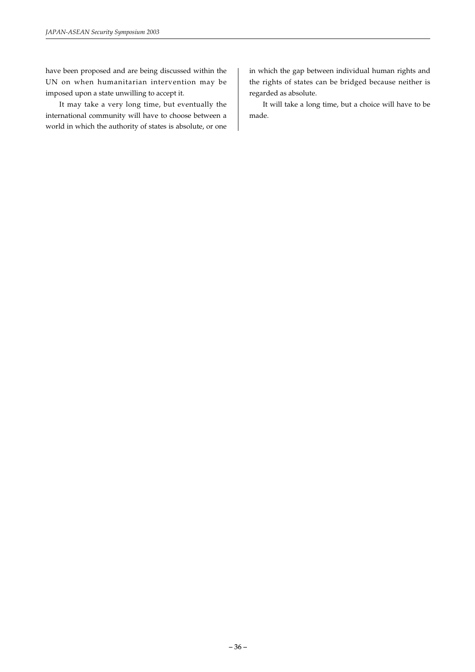have been proposed and are being discussed within the UN on when humanitarian intervention may be imposed upon a state unwilling to accept it.

It may take a very long time, but eventually the international community will have to choose between a world in which the authority of states is absolute, or one in which the gap between individual human rights and the rights of states can be bridged because neither is regarded as absolute.

It will take a long time, but a choice will have to be made.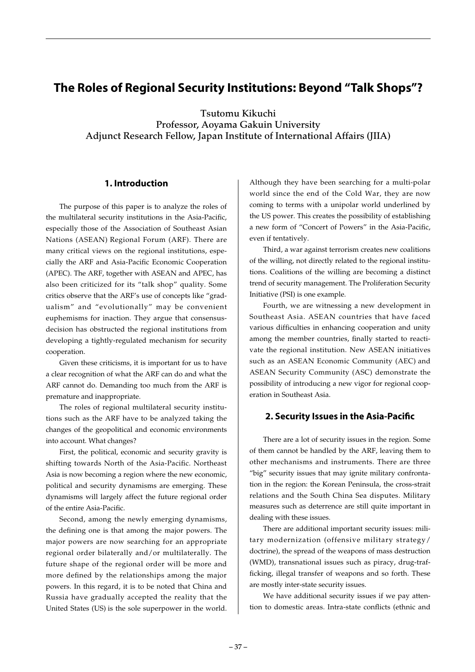# **The Roles of Regional Security Institutions: Beyond "Talk Shops"?**

**Tsutomu Kikuchi**

**Professor, Aoyama Gakuin University Adjunct Research Fellow, Japan Institute of International Affairs (JIIA)**

#### **1. Introduction**

The purpose of this paper is to analyze the roles of the multilateral security institutions in the Asia-Pacific, especially those of the Association of Southeast Asian Nations (ASEAN) Regional Forum (ARF). There are many critical views on the regional institutions, especially the ARF and Asia-Pacific Economic Cooperation (APEC). The ARF, together with ASEAN and APEC, has also been criticized for its "talk shop" quality. Some critics observe that the ARF's use of concepts like "gradualism" and "evolutionally" may be convenient euphemisms for inaction. They argue that consensusdecision has obstructed the regional institutions from developing a tightly-regulated mechanism for security cooperation.

Given these criticisms, it is important for us to have a clear recognition of what the ARF can do and what the ARF cannot do. Demanding too much from the ARF is premature and inappropriate.

The roles of regional multilateral security institutions such as the ARF have to be analyzed taking the changes of the geopolitical and economic environments into account. What changes?

First, the political, economic and security gravity is shifting towards North of the Asia-Pacific. Northeast Asia is now becoming a region where the new economic, political and security dynamisms are emerging. These dynamisms will largely affect the future regional order of the entire Asia-Pacific.

Second, among the newly emerging dynamisms, the defining one is that among the major powers. The major powers are now searching for an appropriate regional order bilaterally and/or multilaterally. The future shape of the regional order will be more and more defined by the relationships among the major powers. In this regard, it is to be noted that China and Russia have gradually accepted the reality that the United States (US) is the sole superpower in the world. Although they have been searching for a multi-polar world since the end of the Cold War, they are now coming to terms with a unipolar world underlined by the US power. This creates the possibility of establishing a new form of "Concert of Powers" in the Asia-Pacific, even if tentatively.

Third, a war against terrorism creates new coalitions of the willing, not directly related to the regional institutions. Coalitions of the willing are becoming a distinct trend of security management. The Proliferation Security Initiative (PSI) is one example.

Fourth, we are witnessing a new development in Southeast Asia. ASEAN countries that have faced various difficulties in enhancing cooperation and unity among the member countries, finally started to reactivate the regional institution. New ASEAN initiatives such as an ASEAN Economic Community (AEC) and ASEAN Security Community (ASC) demonstrate the possibility of introducing a new vigor for regional cooperation in Southeast Asia.

## **2. Security Issues in the Asia-Pacific**

There are a lot of security issues in the region. Some of them cannot be handled by the ARF, leaving them to other mechanisms and instruments. There are three "big" security issues that may ignite military confrontation in the region: the Korean Peninsula, the cross-strait relations and the South China Sea disputes. Military measures such as deterrence are still quite important in dealing with these issues.

There are additional important security issues: military modernization (offensive military strategy/ doctrine), the spread of the weapons of mass destruction (WMD), transnational issues such as piracy, drug-trafficking, illegal transfer of weapons and so forth. These are mostly inter-state security issues.

We have additional security issues if we pay attention to domestic areas. Intra-state conflicts (ethnic and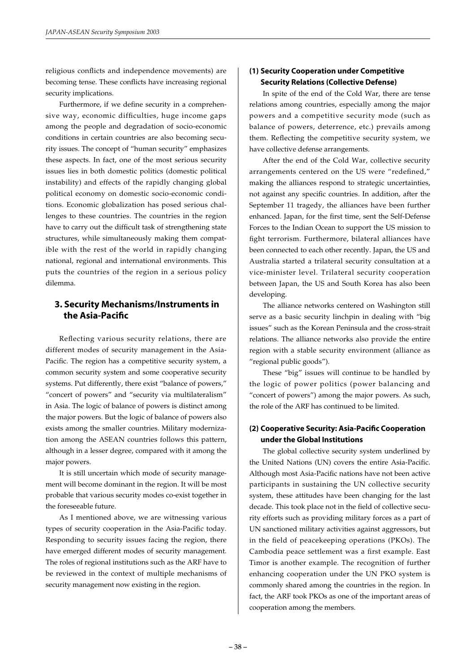religious conflicts and independence movements) are becoming tense. These conflicts have increasing regional security implications.

Furthermore, if we define security in a comprehensive way, economic difficulties, huge income gaps among the people and degradation of socio-economic conditions in certain countries are also becoming security issues. The concept of "human security" emphasizes these aspects. In fact, one of the most serious security issues lies in both domestic politics (domestic political instability) and effects of the rapidly changing global political economy on domestic socio-economic conditions. Economic globalization has posed serious challenges to these countries. The countries in the region have to carry out the difficult task of strengthening state structures, while simultaneously making them compatible with the rest of the world in rapidly changing national, regional and international environments. This puts the countries of the region in a serious policy dilemma.

# **3. Security Mechanisms/Instruments in the Asia-Pacific**

Reflecting various security relations, there are different modes of security management in the Asia-Pacific. The region has a competitive security system, a common security system and some cooperative security systems. Put differently, there exist "balance of powers," "concert of powers" and "security via multilateralism" in Asia. The logic of balance of powers is distinct among the major powers. But the logic of balance of powers also exists among the smaller countries. Military modernization among the ASEAN countries follows this pattern, although in a lesser degree, compared with it among the major powers.

It is still uncertain which mode of security management will become dominant in the region. It will be most probable that various security modes co-exist together in the foreseeable future.

As I mentioned above, we are witnessing various types of security cooperation in the Asia-Pacific today. Responding to security issues facing the region, there have emerged different modes of security management. The roles of regional institutions such as the ARF have to be reviewed in the context of multiple mechanisms of security management now existing in the region.

# **(1) Security Cooperation under Competitive Security Relations (Collective Defense)**

In spite of the end of the Cold War, there are tense relations among countries, especially among the major powers and a competitive security mode (such as balance of powers, deterrence, etc.) prevails among them. Reflecting the competitive security system, we have collective defense arrangements.

After the end of the Cold War, collective security arrangements centered on the US were "redefined," making the alliances respond to strategic uncertainties, not against any specific countries. In addition, after the September 11 tragedy, the alliances have been further enhanced. Japan, for the first time, sent the Self-Defense Forces to the Indian Ocean to support the US mission to fight terrorism. Furthermore, bilateral alliances have been connected to each other recently. Japan, the US and Australia started a trilateral security consultation at a vice-minister level. Trilateral security cooperation between Japan, the US and South Korea has also been developing.

The alliance networks centered on Washington still serve as a basic security linchpin in dealing with "big issues" such as the Korean Peninsula and the cross-strait relations. The alliance networks also provide the entire region with a stable security environment (alliance as "regional public goods").

These "big" issues will continue to be handled by the logic of power politics (power balancing and "concert of powers") among the major powers. As such, the role of the ARF has continued to be limited.

# **(2) Cooperative Security: Asia-Pacific Cooperation under the Global Institutions**

The global collective security system underlined by the United Nations (UN) covers the entire Asia-Pacific. Although most Asia-Pacific nations have not been active participants in sustaining the UN collective security system, these attitudes have been changing for the last decade. This took place not in the field of collective security efforts such as providing military forces as a part of UN sanctioned military activities against aggressors, but in the field of peacekeeping operations (PKOs). The Cambodia peace settlement was a first example. East Timor is another example. The recognition of further enhancing cooperation under the UN PKO system is commonly shared among the countries in the region. In fact, the ARF took PKOs as one of the important areas of cooperation among the members.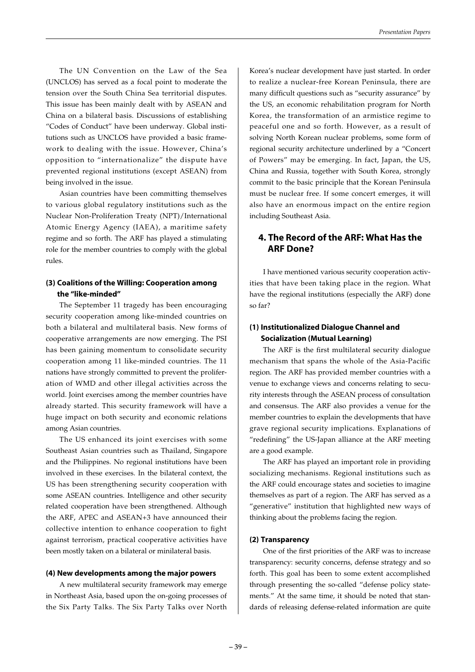The UN Convention on the Law of the Sea (UNCLOS) has served as a focal point to moderate the tension over the South China Sea territorial disputes. This issue has been mainly dealt with by ASEAN and China on a bilateral basis. Discussions of establishing "Codes of Conduct" have been underway. Global institutions such as UNCLOS have provided a basic framework to dealing with the issue. However, China's opposition to "internationalize" the dispute have prevented regional institutions (except ASEAN) from being involved in the issue.

Asian countries have been committing themselves to various global regulatory institutions such as the Nuclear Non-Proliferation Treaty (NPT)/International Atomic Energy Agency (IAEA), a maritime safety regime and so forth. The ARF has played a stimulating role for the member countries to comply with the global rules.

## **(3) Coalitions of the Willing: Cooperation among the "like-minded"**

The September 11 tragedy has been encouraging security cooperation among like-minded countries on both a bilateral and multilateral basis. New forms of cooperative arrangements are now emerging. The PSI has been gaining momentum to consolidate security cooperation among 11 like-minded countries. The 11 nations have strongly committed to prevent the proliferation of WMD and other illegal activities across the world. Joint exercises among the member countries have already started. This security framework will have a huge impact on both security and economic relations among Asian countries.

The US enhanced its joint exercises with some Southeast Asian countries such as Thailand, Singapore and the Philippines. No regional institutions have been involved in these exercises. In the bilateral context, the US has been strengthening security cooperation with some ASEAN countries. Intelligence and other security related cooperation have been strengthened. Although the ARF, APEC and ASEAN+3 have announced their collective intention to enhance cooperation to fight against terrorism, practical cooperative activities have been mostly taken on a bilateral or minilateral basis.

#### **(4) New developments among the major powers**

A new multilateral security framework may emerge in Northeast Asia, based upon the on-going processes of the Six Party Talks. The Six Party Talks over North Korea's nuclear development have just started. In order to realize a nuclear-free Korean Peninsula, there are many difficult questions such as "security assurance" by the US, an economic rehabilitation program for North Korea, the transformation of an armistice regime to peaceful one and so forth. However, as a result of solving North Korean nuclear problems, some form of regional security architecture underlined by a "Concert of Powers" may be emerging. In fact, Japan, the US, China and Russia, together with South Korea, strongly commit to the basic principle that the Korean Peninsula must be nuclear free. If some concert emerges, it will also have an enormous impact on the entire region including Southeast Asia.

# **4. The Record of the ARF: What Has the ARF Done?**

I have mentioned various security cooperation activities that have been taking place in the region. What have the regional institutions (especially the ARF) done so far?

## **(1) Institutionalized Dialogue Channel and Socialization (Mutual Learning)**

The ARF is the first multilateral security dialogue mechanism that spans the whole of the Asia-Pacific region. The ARF has provided member countries with a venue to exchange views and concerns relating to security interests through the ASEAN process of consultation and consensus. The ARF also provides a venue for the member countries to explain the developments that have grave regional security implications. Explanations of "redefining" the US-Japan alliance at the ARF meeting are a good example.

The ARF has played an important role in providing socializing mechanisms. Regional institutions such as the ARF could encourage states and societies to imagine themselves as part of a region. The ARF has served as a "generative" institution that highlighted new ways of thinking about the problems facing the region.

#### **(2) Transparency**

One of the first priorities of the ARF was to increase transparency: security concerns, defense strategy and so forth. This goal has been to some extent accomplished through presenting the so-called "defense policy statements." At the same time, it should be noted that standards of releasing defense-related information are quite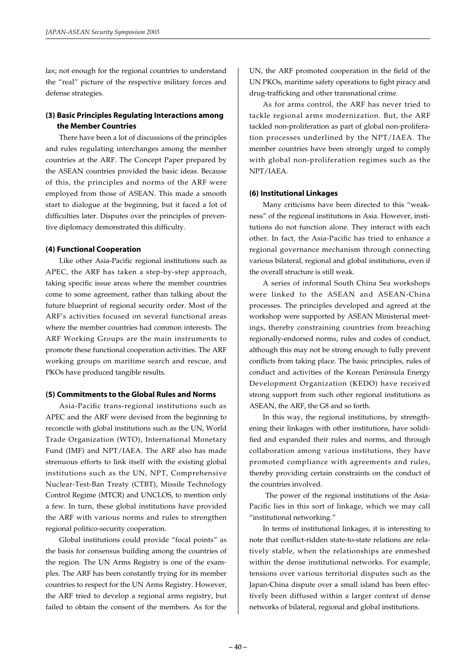lax; not enough for the regional countries to understand the "real" picture of the respective military forces and defense strategies.

## **(3) Basic Principles Regulating Interactions among the Member Countries**

There have been a lot of discussions of the principles and rules regulating interchanges among the member countries at the ARF. The Concept Paper prepared by the ASEAN countries provided the basic ideas. Because of this, the principles and norms of the ARF were employed from those of ASEAN. This made a smooth start to dialogue at the beginning, but it faced a lot of difficulties later. Disputes over the principles of preventive diplomacy demonstrated this difficulty.

#### **(4) Functional Cooperation**

Like other Asia-Pacific regional institutions such as APEC, the ARF has taken a step-by-step approach, taking specific issue areas where the member countries come to some agreement, rather than talking about the future blueprint of regional security order. Most of the ARF's activities focused on several functional areas where the member countries had common interests. The ARF Working Groups are the main instruments to promote these functional cooperation activities. The ARF working groups on maritime search and rescue, and PKOs have produced tangible results.

#### **(5) Commitments to the Global Rules and Norms**

Asia-Pacific trans-regional institutions such as APEC and the ARF were devised from the beginning to reconcile with global institutions such as the UN, World Trade Organization (WTO), International Monetary Fund (IMF) and NPT/IAEA. The ARF also has made strenuous efforts to link itself with the existing global institutions such as the UN, NPT, Comprehensive Nuclear-Test-Ban Treaty (CTBT), Missile Technology Control Regime (MTCR) and UNCLOS, to mention only a few. In turn, these global institutions have provided the ARF with various norms and rules to strengthen regional politico-security cooperation.

Global institutions could provide "focal points" as the basis for consensus building among the countries of the region. The UN Arms Registry is one of the examples. The ARF has been constantly trying for its member countries to respect for the UN Arms Registry. However, the ARF tried to develop a regional arms registry, but failed to obtain the consent of the members. As for the UN, the ARF promoted cooperation in the field of the UN PKOs, maritime safety operations to fight piracy and drug-trafficking and other transnational crime.

As for arms control, the ARF has never tried to tackle regional arms modernization. But, the ARF tackled non-proliferation as part of global non-proliferation processes underlined by the NPT/IAEA. The member countries have been strongly urged to comply with global non-proliferation regimes such as the NPT/IAEA.

#### **(6) Institutional Linkages**

Many criticisms have been directed to this "weakness" of the regional institutions in Asia. However, institutions do not function alone. They interact with each other. In fact, the Asia-Pacific has tried to enhance a regional governance mechanism through connecting various bilateral, regional and global institutions, even if the overall structure is still weak.

A series of informal South China Sea workshops were linked to the ASEAN and ASEAN-China processes. The principles developed and agreed at the workshop were supported by ASEAN Ministerial meetings, thereby constraining countries from breaching regionally-endorsed norms, rules and codes of conduct, although this may not be strong enough to fully prevent conflicts from taking place. The basic principles, rules of conduct and activities of the Korean Peninsula Energy Development Organization (KEDO) have received strong support from such other regional institutions as ASEAN, the ARF, the G8 and so forth.

In this way, the regional institutions, by strengthening their linkages with other institutions, have solidified and expanded their rules and norms, and through collaboration among various institutions, they have promoted compliance with agreements and rules, thereby providing certain constraints on the conduct of the countries involved.

The power of the regional institutions of the Asia-Pacific lies in this sort of linkage, which we may call "institutional networking."

In terms of institutional linkages, it is interesting to note that conflict-ridden state-to-state relations are relatively stable, when the relationships are enmeshed within the dense institutional networks. For example, tensions over various territorial disputes such as the Japan-China dispute over a small island has been effectively been diffused within a larger context of dense networks of bilateral, regional and global institutions.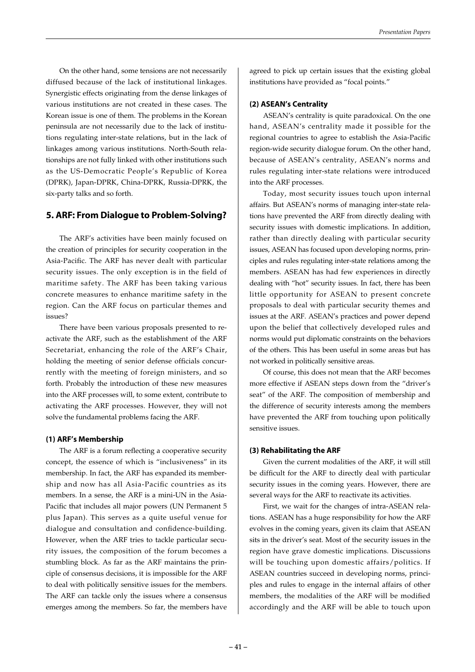On the other hand, some tensions are not necessarily diffused because of the lack of institutional linkages. Synergistic effects originating from the dense linkages of various institutions are not created in these cases. The Korean issue is one of them. The problems in the Korean peninsula are not necessarily due to the lack of institutions regulating inter-state relations, but in the lack of linkages among various institutions. North-South relationships are not fully linked with other institutions such as the US-Democratic People's Republic of Korea (DPRK), Japan-DPRK, China-DPRK, Russia-DPRK, the six-party talks and so forth.

# **5. ARF: From Dialogue to Problem-Solving?**

The ARF's activities have been mainly focused on the creation of principles for security cooperation in the Asia-Pacific. The ARF has never dealt with particular security issues. The only exception is in the field of maritime safety. The ARF has been taking various concrete measures to enhance maritime safety in the region. Can the ARF focus on particular themes and issues?

There have been various proposals presented to reactivate the ARF, such as the establishment of the ARF Secretariat, enhancing the role of the ARF's Chair, holding the meeting of senior defense officials concurrently with the meeting of foreign ministers, and so forth. Probably the introduction of these new measures into the ARF processes will, to some extent, contribute to activating the ARF processes. However, they will not solve the fundamental problems facing the ARF.

#### **(1) ARF's Membership**

The ARF is a forum reflecting a cooperative security concept, the essence of which is "inclusiveness" in its membership. In fact, the ARF has expanded its membership and now has all Asia-Pacific countries as its members. In a sense, the ARF is a mini-UN in the Asia-Pacific that includes all major powers (UN Permanent 5 plus Japan). This serves as a quite useful venue for dialogue and consultation and confidence-building. However, when the ARF tries to tackle particular security issues, the composition of the forum becomes a stumbling block. As far as the ARF maintains the principle of consensus decisions, it is impossible for the ARF to deal with politically sensitive issues for the members. The ARF can tackle only the issues where a consensus emerges among the members. So far, the members have agreed to pick up certain issues that the existing global institutions have provided as "focal points."

### **(2) ASEAN's Centrality**

ASEAN's centrality is quite paradoxical. On the one hand, ASEAN's centrality made it possible for the regional countries to agree to establish the Asia-Pacific region-wide security dialogue forum. On the other hand, because of ASEAN's centrality, ASEAN's norms and rules regulating inter-state relations were introduced into the ARF processes.

Today, most security issues touch upon internal affairs. But ASEAN's norms of managing inter-state relations have prevented the ARF from directly dealing with security issues with domestic implications. In addition, rather than directly dealing with particular security issues, ASEAN has focused upon developing norms, principles and rules regulating inter-state relations among the members. ASEAN has had few experiences in directly dealing with "hot" security issues. In fact, there has been little opportunity for ASEAN to present concrete proposals to deal with particular security themes and issues at the ARF. ASEAN's practices and power depend upon the belief that collectively developed rules and norms would put diplomatic constraints on the behaviors of the others. This has been useful in some areas but has not worked in politically sensitive areas.

Of course, this does not mean that the ARF becomes more effective if ASEAN steps down from the "driver's seat" of the ARF. The composition of membership and the difference of security interests among the members have prevented the ARF from touching upon politically sensitive issues.

## **(3) Rehabilitating the ARF**

Given the current modalities of the ARF, it will still be difficult for the ARF to directly deal with particular security issues in the coming years. However, there are several ways for the ARF to reactivate its activities.

First, we wait for the changes of intra-ASEAN relations. ASEAN has a huge responsibility for how the ARF evolves in the coming years, given its claim that ASEAN sits in the driver's seat. Most of the security issues in the region have grave domestic implications. Discussions will be touching upon domestic affairs/politics. If ASEAN countries succeed in developing norms, principles and rules to engage in the internal affairs of other members, the modalities of the ARF will be modified accordingly and the ARF will be able to touch upon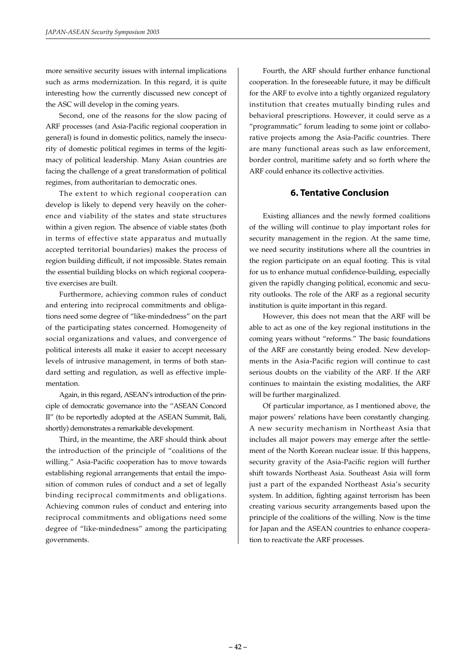more sensitive security issues with internal implications such as arms modernization. In this regard, it is quite interesting how the currently discussed new concept of the ASC will develop in the coming years.

Second, one of the reasons for the slow pacing of ARF processes (and Asia-Pacific regional cooperation in general) is found in domestic politics, namely the insecurity of domestic political regimes in terms of the legitimacy of political leadership. Many Asian countries are facing the challenge of a great transformation of political regimes, from authoritarian to democratic ones.

The extent to which regional cooperation can develop is likely to depend very heavily on the coherence and viability of the states and state structures within a given region. The absence of viable states (both in terms of effective state apparatus and mutually accepted territorial boundaries) makes the process of region building difficult, if not impossible. States remain the essential building blocks on which regional cooperative exercises are built.

Furthermore, achieving common rules of conduct and entering into reciprocal commitments and obligations need some degree of "like-mindedness" on the part of the participating states concerned. Homogeneity of social organizations and values, and convergence of political interests all make it easier to accept necessary levels of intrusive management, in terms of both standard setting and regulation, as well as effective implementation.

Again, in this regard, ASEAN's introduction of the principle of democratic governance into the "ASEAN Concord II" (to be reportedly adopted at the ASEAN Summit, Bali, shortly) demonstrates a remarkable development.

Third, in the meantime, the ARF should think about the introduction of the principle of "coalitions of the willing." Asia-Pacific cooperation has to move towards establishing regional arrangements that entail the imposition of common rules of conduct and a set of legally binding reciprocal commitments and obligations. Achieving common rules of conduct and entering into reciprocal commitments and obligations need some degree of "like-mindedness" among the participating governments.

Fourth, the ARF should further enhance functional cooperation. In the foreseeable future, it may be difficult for the ARF to evolve into a tightly organized regulatory institution that creates mutually binding rules and behavioral prescriptions. However, it could serve as a "programmatic" forum leading to some joint or collaborative projects among the Asia-Pacific countries. There are many functional areas such as law enforcement, border control, maritime safety and so forth where the ARF could enhance its collective activities.

## **6. Tentative Conclusion**

Existing alliances and the newly formed coalitions of the willing will continue to play important roles for security management in the region. At the same time, we need security institutions where all the countries in the region participate on an equal footing. This is vital for us to enhance mutual confidence-building, especially given the rapidly changing political, economic and security outlooks. The role of the ARF as a regional security institution is quite important in this regard.

However, this does not mean that the ARF will be able to act as one of the key regional institutions in the coming years without "reforms." The basic foundations of the ARF are constantly being eroded. New developments in the Asia-Pacific region will continue to cast serious doubts on the viability of the ARF. If the ARF continues to maintain the existing modalities, the ARF will be further marginalized.

Of particular importance, as I mentioned above, the major powers' relations have been constantly changing. A new security mechanism in Northeast Asia that includes all major powers may emerge after the settlement of the North Korean nuclear issue. If this happens, security gravity of the Asia-Pacific region will further shift towards Northeast Asia. Southeast Asia will form just a part of the expanded Northeast Asia's security system. In addition, fighting against terrorism has been creating various security arrangements based upon the principle of the coalitions of the willing. Now is the time for Japan and the ASEAN countries to enhance cooperation to reactivate the ARF processes.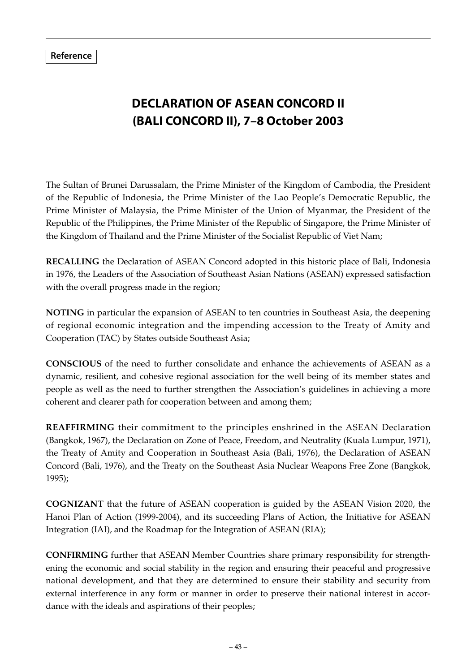**Reference**

# **DECLARATION OF ASEAN CONCORD II (BALI CONCORD II), 7–8 October 2003**

The Sultan of Brunei Darussalam, the Prime Minister of the Kingdom of Cambodia, the President of the Republic of Indonesia, the Prime Minister of the Lao People's Democratic Republic, the Prime Minister of Malaysia, the Prime Minister of the Union of Myanmar, the President of the Republic of the Philippines, the Prime Minister of the Republic of Singapore, the Prime Minister of the Kingdom of Thailand and the Prime Minister of the Socialist Republic of Viet Nam;

**RECALLING** the Declaration of ASEAN Concord adopted in this historic place of Bali, Indonesia in 1976, the Leaders of the Association of Southeast Asian Nations (ASEAN) expressed satisfaction with the overall progress made in the region;

**NOTING** in particular the expansion of ASEAN to ten countries in Southeast Asia, the deepening of regional economic integration and the impending accession to the Treaty of Amity and Cooperation (TAC) by States outside Southeast Asia;

**CONSCIOUS** of the need to further consolidate and enhance the achievements of ASEAN as a dynamic, resilient, and cohesive regional association for the well being of its member states and people as well as the need to further strengthen the Association's guidelines in achieving a more coherent and clearer path for cooperation between and among them;

**REAFFIRMING** their commitment to the principles enshrined in the ASEAN Declaration (Bangkok, 1967), the Declaration on Zone of Peace, Freedom, and Neutrality (Kuala Lumpur, 1971), the Treaty of Amity and Cooperation in Southeast Asia (Bali, 1976), the Declaration of ASEAN Concord (Bali, 1976), and the Treaty on the Southeast Asia Nuclear Weapons Free Zone (Bangkok, 1995);

**COGNIZANT** that the future of ASEAN cooperation is guided by the ASEAN Vision 2020, the Hanoi Plan of Action (1999-2004), and its succeeding Plans of Action, the Initiative for ASEAN Integration (IAI), and the Roadmap for the Integration of ASEAN (RIA);

**CONFIRMING** further that ASEAN Member Countries share primary responsibility for strengthening the economic and social stability in the region and ensuring their peaceful and progressive national development, and that they are determined to ensure their stability and security from external interference in any form or manner in order to preserve their national interest in accordance with the ideals and aspirations of their peoples;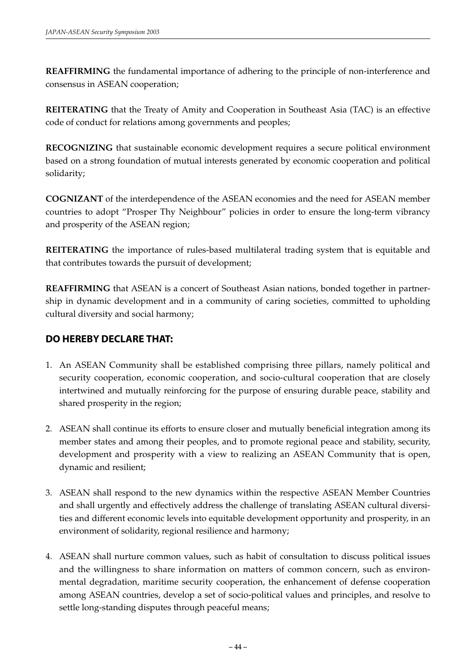**REAFFIRMING** the fundamental importance of adhering to the principle of non-interference and consensus in ASEAN cooperation;

**REITERATING** that the Treaty of Amity and Cooperation in Southeast Asia (TAC) is an effective code of conduct for relations among governments and peoples;

**RECOGNIZING** that sustainable economic development requires a secure political environment based on a strong foundation of mutual interests generated by economic cooperation and political solidarity;

**COGNIZANT** of the interdependence of the ASEAN economies and the need for ASEAN member countries to adopt "Prosper Thy Neighbour" policies in order to ensure the long-term vibrancy and prosperity of the ASEAN region;

**REITERATING** the importance of rules-based multilateral trading system that is equitable and that contributes towards the pursuit of development;

**REAFFIRMING** that ASEAN is a concert of Southeast Asian nations, bonded together in partnership in dynamic development and in a community of caring societies, committed to upholding cultural diversity and social harmony;

# **DO HEREBY DECLARE THAT:**

- 1. An ASEAN Community shall be established comprising three pillars, namely political and security cooperation, economic cooperation, and socio-cultural cooperation that are closely intertwined and mutually reinforcing for the purpose of ensuring durable peace, stability and shared prosperity in the region;
- 2. ASEAN shall continue its efforts to ensure closer and mutually beneficial integration among its member states and among their peoples, and to promote regional peace and stability, security, development and prosperity with a view to realizing an ASEAN Community that is open, dynamic and resilient;
- 3. ASEAN shall respond to the new dynamics within the respective ASEAN Member Countries and shall urgently and effectively address the challenge of translating ASEAN cultural diversities and different economic levels into equitable development opportunity and prosperity, in an environment of solidarity, regional resilience and harmony;
- 4. ASEAN shall nurture common values, such as habit of consultation to discuss political issues and the willingness to share information on matters of common concern, such as environmental degradation, maritime security cooperation, the enhancement of defense cooperation among ASEAN countries, develop a set of socio-political values and principles, and resolve to settle long-standing disputes through peaceful means;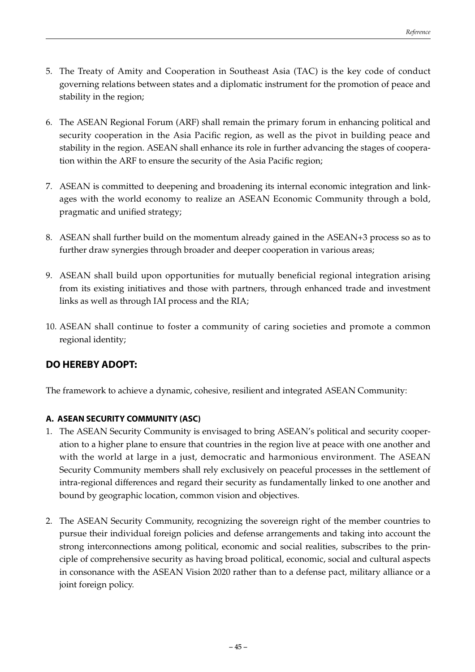- 5. The Treaty of Amity and Cooperation in Southeast Asia (TAC) is the key code of conduct governing relations between states and a diplomatic instrument for the promotion of peace and stability in the region;
- 6. The ASEAN Regional Forum (ARF) shall remain the primary forum in enhancing political and security cooperation in the Asia Pacific region, as well as the pivot in building peace and stability in the region. ASEAN shall enhance its role in further advancing the stages of cooperation within the ARF to ensure the security of the Asia Pacific region;
- 7. ASEAN is committed to deepening and broadening its internal economic integration and linkages with the world economy to realize an ASEAN Economic Community through a bold, pragmatic and unified strategy;
- 8. ASEAN shall further build on the momentum already gained in the ASEAN+3 process so as to further draw synergies through broader and deeper cooperation in various areas;
- 9. ASEAN shall build upon opportunities for mutually beneficial regional integration arising from its existing initiatives and those with partners, through enhanced trade and investment links as well as through IAI process and the RIA;
- 10. ASEAN shall continue to foster a community of caring societies and promote a common regional identity;

# **DO HEREBY ADOPT:**

The framework to achieve a dynamic, cohesive, resilient and integrated ASEAN Community:

# **A. ASEAN SECURITY COMMUNITY (ASC)**

- 1. The ASEAN Security Community is envisaged to bring ASEAN's political and security cooperation to a higher plane to ensure that countries in the region live at peace with one another and with the world at large in a just, democratic and harmonious environment. The ASEAN Security Community members shall rely exclusively on peaceful processes in the settlement of intra-regional differences and regard their security as fundamentally linked to one another and bound by geographic location, common vision and objectives.
- 2. The ASEAN Security Community, recognizing the sovereign right of the member countries to pursue their individual foreign policies and defense arrangements and taking into account the strong interconnections among political, economic and social realities, subscribes to the principle of comprehensive security as having broad political, economic, social and cultural aspects in consonance with the ASEAN Vision 2020 rather than to a defense pact, military alliance or a joint foreign policy.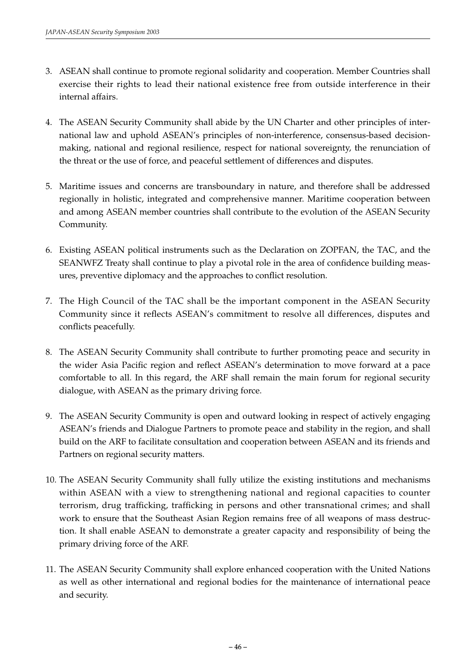- 3. ASEAN shall continue to promote regional solidarity and cooperation. Member Countries shall exercise their rights to lead their national existence free from outside interference in their internal affairs.
- 4. The ASEAN Security Community shall abide by the UN Charter and other principles of international law and uphold ASEAN's principles of non-interference, consensus-based decisionmaking, national and regional resilience, respect for national sovereignty, the renunciation of the threat or the use of force, and peaceful settlement of differences and disputes.
- 5. Maritime issues and concerns are transboundary in nature, and therefore shall be addressed regionally in holistic, integrated and comprehensive manner. Maritime cooperation between and among ASEAN member countries shall contribute to the evolution of the ASEAN Security Community.
- 6. Existing ASEAN political instruments such as the Declaration on ZOPFAN, the TAC, and the SEANWFZ Treaty shall continue to play a pivotal role in the area of confidence building measures, preventive diplomacy and the approaches to conflict resolution.
- 7. The High Council of the TAC shall be the important component in the ASEAN Security Community since it reflects ASEAN's commitment to resolve all differences, disputes and conflicts peacefully.
- 8. The ASEAN Security Community shall contribute to further promoting peace and security in the wider Asia Pacific region and reflect ASEAN's determination to move forward at a pace comfortable to all. In this regard, the ARF shall remain the main forum for regional security dialogue, with ASEAN as the primary driving force.
- 9. The ASEAN Security Community is open and outward looking in respect of actively engaging ASEAN's friends and Dialogue Partners to promote peace and stability in the region, and shall build on the ARF to facilitate consultation and cooperation between ASEAN and its friends and Partners on regional security matters.
- 10. The ASEAN Security Community shall fully utilize the existing institutions and mechanisms within ASEAN with a view to strengthening national and regional capacities to counter terrorism, drug trafficking, trafficking in persons and other transnational crimes; and shall work to ensure that the Southeast Asian Region remains free of all weapons of mass destruction. It shall enable ASEAN to demonstrate a greater capacity and responsibility of being the primary driving force of the ARF.
- 11. The ASEAN Security Community shall explore enhanced cooperation with the United Nations as well as other international and regional bodies for the maintenance of international peace and security.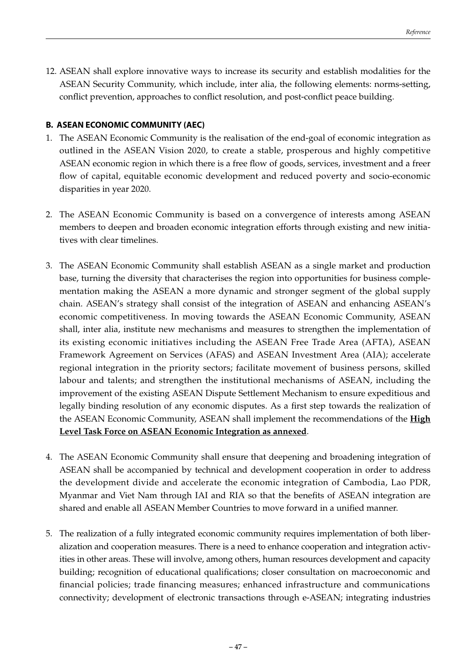12. ASEAN shall explore innovative ways to increase its security and establish modalities for the ASEAN Security Community, which include, inter alia, the following elements: norms-setting, conflict prevention, approaches to conflict resolution, and post-conflict peace building.

# **B. ASEAN ECONOMIC COMMUNITY (AEC)**

- 1. The ASEAN Economic Community is the realisation of the end-goal of economic integration as outlined in the ASEAN Vision 2020, to create a stable, prosperous and highly competitive ASEAN economic region in which there is a free flow of goods, services, investment and a freer flow of capital, equitable economic development and reduced poverty and socio-economic disparities in year 2020.
- 2. The ASEAN Economic Community is based on a convergence of interests among ASEAN members to deepen and broaden economic integration efforts through existing and new initiatives with clear timelines.
- 3. The ASEAN Economic Community shall establish ASEAN as a single market and production base, turning the diversity that characterises the region into opportunities for business complementation making the ASEAN a more dynamic and stronger segment of the global supply chain. ASEAN's strategy shall consist of the integration of ASEAN and enhancing ASEAN's economic competitiveness. In moving towards the ASEAN Economic Community, ASEAN shall, inter alia, institute new mechanisms and measures to strengthen the implementation of its existing economic initiatives including the ASEAN Free Trade Area (AFTA), ASEAN Framework Agreement on Services (AFAS) and ASEAN Investment Area (AIA); accelerate regional integration in the priority sectors; facilitate movement of business persons, skilled labour and talents; and strengthen the institutional mechanisms of ASEAN, including the improvement of the existing ASEAN Dispute Settlement Mechanism to ensure expeditious and legally binding resolution of any economic disputes. As a first step towards the realization of the ASEAN Economic Community, ASEAN shall implement the recommendations of the **High Level Task Force on ASEAN Economic Integration as annexed**.
- 4. The ASEAN Economic Community shall ensure that deepening and broadening integration of ASEAN shall be accompanied by technical and development cooperation in order to address the development divide and accelerate the economic integration of Cambodia, Lao PDR, Myanmar and Viet Nam through IAI and RIA so that the benefits of ASEAN integration are shared and enable all ASEAN Member Countries to move forward in a unified manner.
- 5. The realization of a fully integrated economic community requires implementation of both liberalization and cooperation measures. There is a need to enhance cooperation and integration activities in other areas. These will involve, among others, human resources development and capacity building; recognition of educational qualifications; closer consultation on macroeconomic and financial policies; trade financing measures; enhanced infrastructure and communications connectivity; development of electronic transactions through e-ASEAN; integrating industries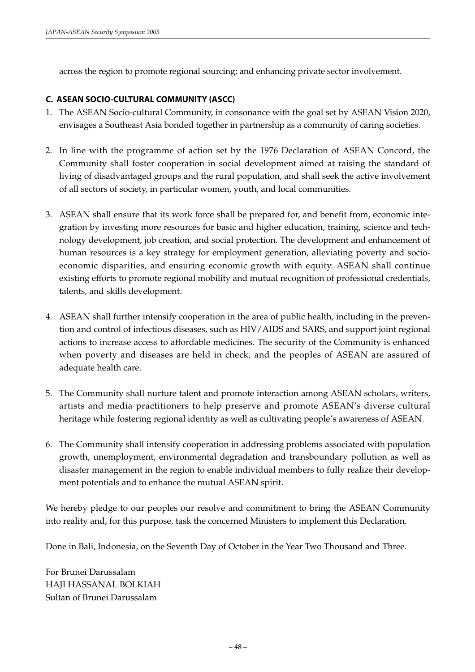across the region to promote regional sourcing; and enhancing private sector involvement.

# **C. ASEAN SOCIO-CULTURAL COMMUNITY (ASCC)**

- 1. The ASEAN Socio-cultural Community, in consonance with the goal set by ASEAN Vision 2020, envisages a Southeast Asia bonded together in partnership as a community of caring societies.
- 2. In line with the programme of action set by the 1976 Declaration of ASEAN Concord, the Community shall foster cooperation in social development aimed at raising the standard of living of disadvantaged groups and the rural population, and shall seek the active involvement of all sectors of society, in particular women, youth, and local communities.
- 3. ASEAN shall ensure that its work force shall be prepared for, and benefit from, economic integration by investing more resources for basic and higher education, training, science and technology development, job creation, and social protection. The development and enhancement of human resources is a key strategy for employment generation, alleviating poverty and socioeconomic disparities, and ensuring economic growth with equity. ASEAN shall continue existing efforts to promote regional mobility and mutual recognition of professional credentials, talents, and skills development.
- 4. ASEAN shall further intensify cooperation in the area of public health, including in the prevention and control of infectious diseases, such as HIV/AIDS and SARS, and support joint regional actions to increase access to affordable medicines. The security of the Community is enhanced when poverty and diseases are held in check, and the peoples of ASEAN are assured of adequate health care.
- 5. The Community shall nurture talent and promote interaction among ASEAN scholars, writers, artists and media practitioners to help preserve and promote ASEAN's diverse cultural heritage while fostering regional identity as well as cultivating people's awareness of ASEAN.
- 6. The Community shall intensify cooperation in addressing problems associated with population growth, unemployment, environmental degradation and transboundary pollution as well as disaster management in the region to enable individual members to fully realize their development potentials and to enhance the mutual ASEAN spirit.

We hereby pledge to our peoples our resolve and commitment to bring the ASEAN Community into reality and, for this purpose, task the concerned Ministers to implement this Declaration.

Done in Bali, Indonesia, on the Seventh Day of October in the Year Two Thousand and Three.

For Brunei Darussalam HAJI HASSANAL BOLKIAH Sultan of Brunei Darussalam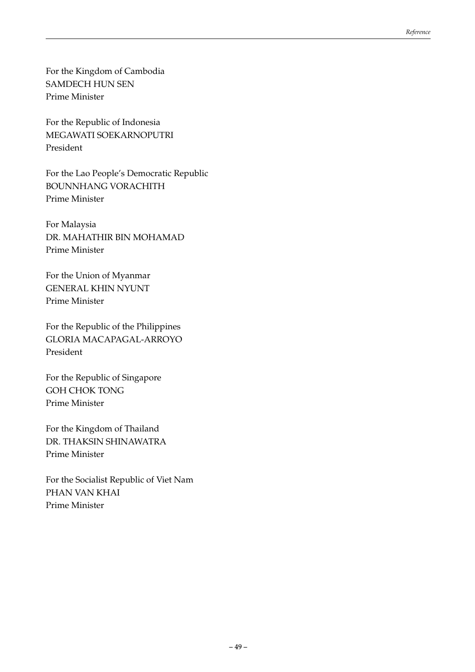For the Kingdom of Cambodia SAMDECH HUN SEN Prime Minister

For the Republic of Indonesia MEGAWATI SOEKARNOPUTRI President

For the Lao People's Democratic Republic BOUNNHANG VORACHITH Prime Minister

For Malaysia DR. MAHATHIR BIN MOHAMAD Prime Minister

For the Union of Myanmar GENERAL KHIN NYUNT Prime Minister

For the Republic of the Philippines GLORIA MACAPAGAL-ARROYO President

For the Republic of Singapore GOH CHOK TONG Prime Minister

For the Kingdom of Thailand DR. THAKSIN SHINAWATRA Prime Minister

For the Socialist Republic of Viet Nam PHAN VAN KHAI Prime Minister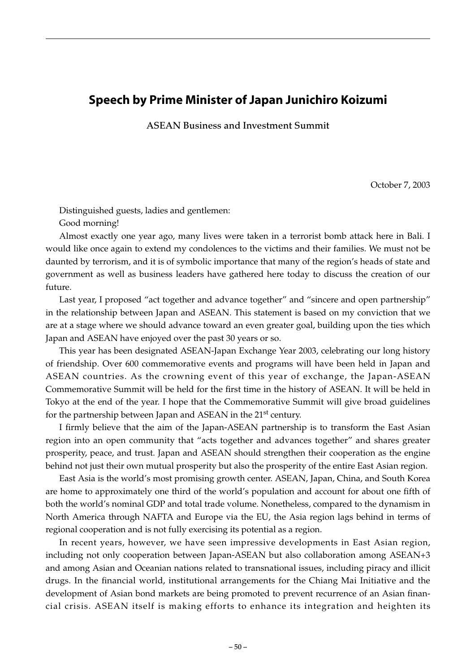# **Speech by Prime Minister of Japan Junichiro Koizumi**

**ASEAN Business and Investment Summit**

October 7, 2003

Distinguished guests, ladies and gentlemen:

Good morning!

Almost exactly one year ago, many lives were taken in a terrorist bomb attack here in Bali. I would like once again to extend my condolences to the victims and their families. We must not be daunted by terrorism, and it is of symbolic importance that many of the region's heads of state and government as well as business leaders have gathered here today to discuss the creation of our future.

Last year, I proposed "act together and advance together" and "sincere and open partnership" in the relationship between Japan and ASEAN. This statement is based on my conviction that we are at a stage where we should advance toward an even greater goal, building upon the ties which Japan and ASEAN have enjoyed over the past 30 years or so.

This year has been designated ASEAN-Japan Exchange Year 2003, celebrating our long history of friendship. Over 600 commemorative events and programs will have been held in Japan and ASEAN countries. As the crowning event of this year of exchange, the Japan-ASEAN Commemorative Summit will be held for the first time in the history of ASEAN. It will be held in Tokyo at the end of the year. I hope that the Commemorative Summit will give broad guidelines for the partnership between Japan and ASEAN in the 21<sup>st</sup> century.

I firmly believe that the aim of the Japan-ASEAN partnership is to transform the East Asian region into an open community that "acts together and advances together" and shares greater prosperity, peace, and trust. Japan and ASEAN should strengthen their cooperation as the engine behind not just their own mutual prosperity but also the prosperity of the entire East Asian region.

East Asia is the world's most promising growth center. ASEAN, Japan, China, and South Korea are home to approximately one third of the world's population and account for about one fifth of both the world's nominal GDP and total trade volume. Nonetheless, compared to the dynamism in North America through NAFTA and Europe via the EU, the Asia region lags behind in terms of regional cooperation and is not fully exercising its potential as a region.

In recent years, however, we have seen impressive developments in East Asian region, including not only cooperation between Japan-ASEAN but also collaboration among ASEAN+3 and among Asian and Oceanian nations related to transnational issues, including piracy and illicit drugs. In the financial world, institutional arrangements for the Chiang Mai Initiative and the development of Asian bond markets are being promoted to prevent recurrence of an Asian financial crisis. ASEAN itself is making efforts to enhance its integration and heighten its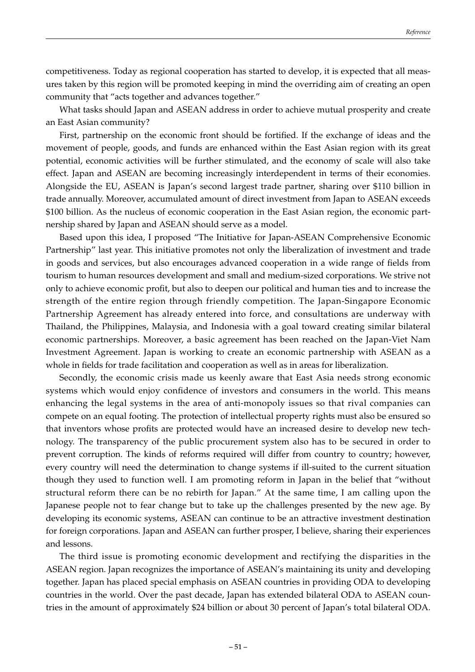*Reference*

competitiveness. Today as regional cooperation has started to develop, it is expected that all measures taken by this region will be promoted keeping in mind the overriding aim of creating an open community that "acts together and advances together."

What tasks should Japan and ASEAN address in order to achieve mutual prosperity and create an East Asian community?

First, partnership on the economic front should be fortified. If the exchange of ideas and the movement of people, goods, and funds are enhanced within the East Asian region with its great potential, economic activities will be further stimulated, and the economy of scale will also take effect. Japan and ASEAN are becoming increasingly interdependent in terms of their economies. Alongside the EU, ASEAN is Japan's second largest trade partner, sharing over \$110 billion in trade annually. Moreover, accumulated amount of direct investment from Japan to ASEAN exceeds \$100 billion. As the nucleus of economic cooperation in the East Asian region, the economic partnership shared by Japan and ASEAN should serve as a model.

Based upon this idea, I proposed "The Initiative for Japan-ASEAN Comprehensive Economic Partnership" last year. This initiative promotes not only the liberalization of investment and trade in goods and services, but also encourages advanced cooperation in a wide range of fields from tourism to human resources development and small and medium-sized corporations. We strive not only to achieve economic profit, but also to deepen our political and human ties and to increase the strength of the entire region through friendly competition. The Japan-Singapore Economic Partnership Agreement has already entered into force, and consultations are underway with Thailand, the Philippines, Malaysia, and Indonesia with a goal toward creating similar bilateral economic partnerships. Moreover, a basic agreement has been reached on the Japan-Viet Nam Investment Agreement. Japan is working to create an economic partnership with ASEAN as a whole in fields for trade facilitation and cooperation as well as in areas for liberalization.

Secondly, the economic crisis made us keenly aware that East Asia needs strong economic systems which would enjoy confidence of investors and consumers in the world. This means enhancing the legal systems in the area of anti-monopoly issues so that rival companies can compete on an equal footing. The protection of intellectual property rights must also be ensured so that inventors whose profits are protected would have an increased desire to develop new technology. The transparency of the public procurement system also has to be secured in order to prevent corruption. The kinds of reforms required will differ from country to country; however, every country will need the determination to change systems if ill-suited to the current situation though they used to function well. I am promoting reform in Japan in the belief that "without structural reform there can be no rebirth for Japan." At the same time, I am calling upon the Japanese people not to fear change but to take up the challenges presented by the new age. By developing its economic systems, ASEAN can continue to be an attractive investment destination for foreign corporations. Japan and ASEAN can further prosper, I believe, sharing their experiences and lessons.

The third issue is promoting economic development and rectifying the disparities in the ASEAN region. Japan recognizes the importance of ASEAN's maintaining its unity and developing together. Japan has placed special emphasis on ASEAN countries in providing ODA to developing countries in the world. Over the past decade, Japan has extended bilateral ODA to ASEAN countries in the amount of approximately \$24 billion or about 30 percent of Japan's total bilateral ODA.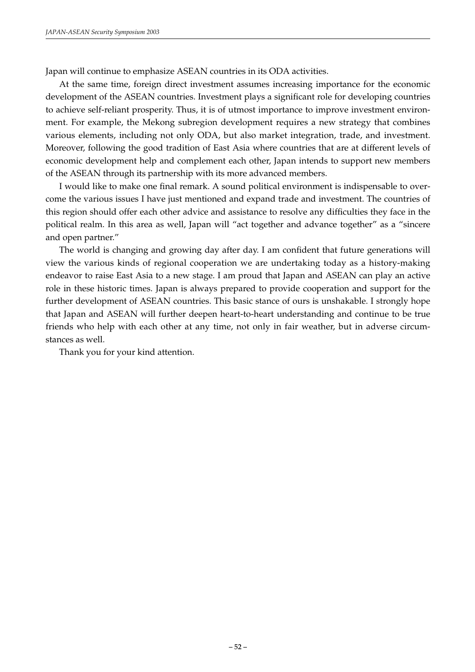Japan will continue to emphasize ASEAN countries in its ODA activities.

At the same time, foreign direct investment assumes increasing importance for the economic development of the ASEAN countries. Investment plays a significant role for developing countries to achieve self-reliant prosperity. Thus, it is of utmost importance to improve investment environment. For example, the Mekong subregion development requires a new strategy that combines various elements, including not only ODA, but also market integration, trade, and investment. Moreover, following the good tradition of East Asia where countries that are at different levels of economic development help and complement each other, Japan intends to support new members of the ASEAN through its partnership with its more advanced members.

I would like to make one final remark. A sound political environment is indispensable to overcome the various issues I have just mentioned and expand trade and investment. The countries of this region should offer each other advice and assistance to resolve any difficulties they face in the political realm. In this area as well, Japan will "act together and advance together" as a "sincere and open partner."

The world is changing and growing day after day. I am confident that future generations will view the various kinds of regional cooperation we are undertaking today as a history-making endeavor to raise East Asia to a new stage. I am proud that Japan and ASEAN can play an active role in these historic times. Japan is always prepared to provide cooperation and support for the further development of ASEAN countries. This basic stance of ours is unshakable. I strongly hope that Japan and ASEAN will further deepen heart-to-heart understanding and continue to be true friends who help with each other at any time, not only in fair weather, but in adverse circumstances as well.

Thank you for your kind attention.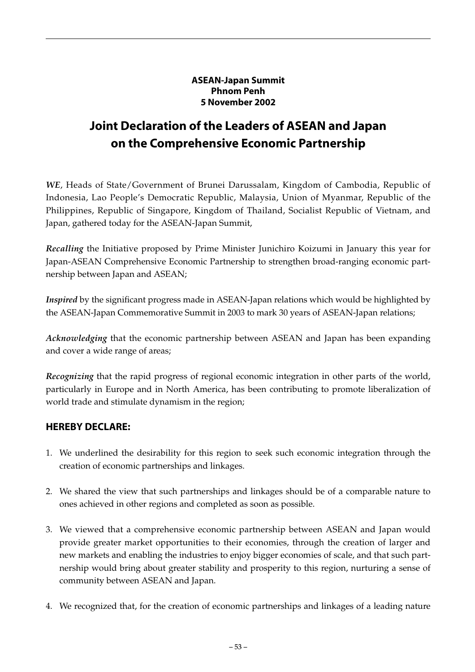# **ASEAN-Japan Summit Phnom Penh 5 November 2002**

# **Joint Declaration of the Leaders of ASEAN and Japan on the Comprehensive Economic Partnership**

*WE*, Heads of State/Government of Brunei Darussalam, Kingdom of Cambodia, Republic of Indonesia, Lao People's Democratic Republic, Malaysia, Union of Myanmar, Republic of the Philippines, Republic of Singapore, Kingdom of Thailand, Socialist Republic of Vietnam, and Japan, gathered today for the ASEAN-Japan Summit,

*Recalling* the Initiative proposed by Prime Minister Junichiro Koizumi in January this year for Japan-ASEAN Comprehensive Economic Partnership to strengthen broad-ranging economic partnership between Japan and ASEAN;

*Inspired* by the significant progress made in ASEAN-Japan relations which would be highlighted by the ASEAN-Japan Commemorative Summit in 2003 to mark 30 years of ASEAN-Japan relations;

*Acknowledging* that the economic partnership between ASEAN and Japan has been expanding and cover a wide range of areas;

*Recognizing* that the rapid progress of regional economic integration in other parts of the world, particularly in Europe and in North America, has been contributing to promote liberalization of world trade and stimulate dynamism in the region;

# **HEREBY DECLARE:**

- 1. We underlined the desirability for this region to seek such economic integration through the creation of economic partnerships and linkages.
- 2. We shared the view that such partnerships and linkages should be of a comparable nature to ones achieved in other regions and completed as soon as possible.
- 3. We viewed that a comprehensive economic partnership between ASEAN and Japan would provide greater market opportunities to their economies, through the creation of larger and new markets and enabling the industries to enjoy bigger economies of scale, and that such partnership would bring about greater stability and prosperity to this region, nurturing a sense of community between ASEAN and Japan.
- 4. We recognized that, for the creation of economic partnerships and linkages of a leading nature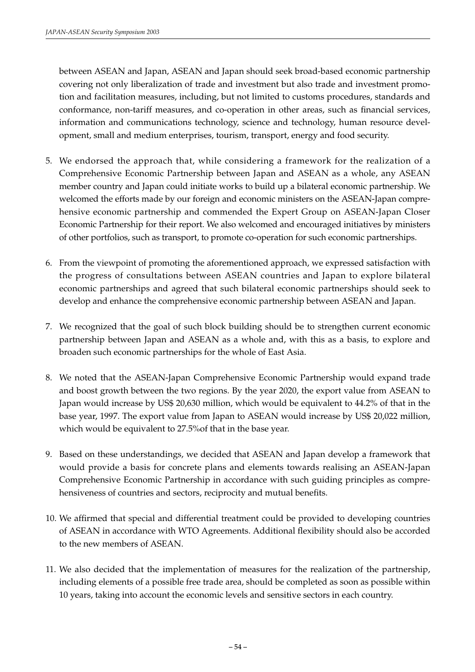between ASEAN and Japan, ASEAN and Japan should seek broad-based economic partnership covering not only liberalization of trade and investment but also trade and investment promotion and facilitation measures, including, but not limited to customs procedures, standards and conformance, non-tariff measures, and co-operation in other areas, such as financial services, information and communications technology, science and technology, human resource development, small and medium enterprises, tourism, transport, energy and food security.

- 5. We endorsed the approach that, while considering a framework for the realization of a Comprehensive Economic Partnership between Japan and ASEAN as a whole, any ASEAN member country and Japan could initiate works to build up a bilateral economic partnership. We welcomed the efforts made by our foreign and economic ministers on the ASEAN-Japan comprehensive economic partnership and commended the Expert Group on ASEAN-Japan Closer Economic Partnership for their report. We also welcomed and encouraged initiatives by ministers of other portfolios, such as transport, to promote co-operation for such economic partnerships.
- 6. From the viewpoint of promoting the aforementioned approach, we expressed satisfaction with the progress of consultations between ASEAN countries and Japan to explore bilateral economic partnerships and agreed that such bilateral economic partnerships should seek to develop and enhance the comprehensive economic partnership between ASEAN and Japan.
- 7. We recognized that the goal of such block building should be to strengthen current economic partnership between Japan and ASEAN as a whole and, with this as a basis, to explore and broaden such economic partnerships for the whole of East Asia.
- 8. We noted that the ASEAN-Japan Comprehensive Economic Partnership would expand trade and boost growth between the two regions. By the year 2020, the export value from ASEAN to Japan would increase by US\$ 20,630 million, which would be equivalent to 44.2% of that in the base year, 1997. The export value from Japan to ASEAN would increase by US\$ 20,022 million, which would be equivalent to 27.5%of that in the base year.
- 9. Based on these understandings, we decided that ASEAN and Japan develop a framework that would provide a basis for concrete plans and elements towards realising an ASEAN-Japan Comprehensive Economic Partnership in accordance with such guiding principles as comprehensiveness of countries and sectors, reciprocity and mutual benefits.
- 10. We affirmed that special and differential treatment could be provided to developing countries of ASEAN in accordance with WTO Agreements. Additional flexibility should also be accorded to the new members of ASEAN.
- 11. We also decided that the implementation of measures for the realization of the partnership, including elements of a possible free trade area, should be completed as soon as possible within 10 years, taking into account the economic levels and sensitive sectors in each country.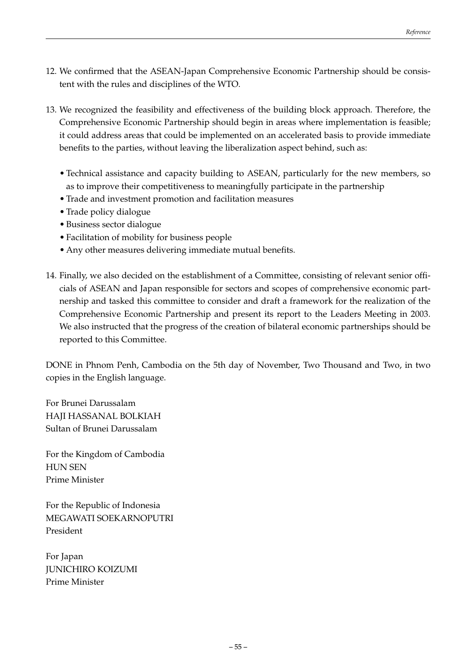- 12. We confirmed that the ASEAN-Japan Comprehensive Economic Partnership should be consistent with the rules and disciplines of the WTO.
- 13. We recognized the feasibility and effectiveness of the building block approach. Therefore, the Comprehensive Economic Partnership should begin in areas where implementation is feasible; it could address areas that could be implemented on an accelerated basis to provide immediate benefits to the parties, without leaving the liberalization aspect behind, such as:
	- Technical assistance and capacity building to ASEAN, particularly for the new members, so as to improve their competitiveness to meaningfully participate in the partnership
	- Trade and investment promotion and facilitation measures
	- Trade policy dialogue
	- Business sector dialogue
	- Facilitation of mobility for business people
	- Any other measures delivering immediate mutual benefits.
- 14. Finally, we also decided on the establishment of a Committee, consisting of relevant senior officials of ASEAN and Japan responsible for sectors and scopes of comprehensive economic partnership and tasked this committee to consider and draft a framework for the realization of the Comprehensive Economic Partnership and present its report to the Leaders Meeting in 2003. We also instructed that the progress of the creation of bilateral economic partnerships should be reported to this Committee.

DONE in Phnom Penh, Cambodia on the 5th day of November, Two Thousand and Two, in two copies in the English language.

For Brunei Darussalam HAJI HASSANAL BOLKIAH Sultan of Brunei Darussalam

For the Kingdom of Cambodia HUN SEN Prime Minister

For the Republic of Indonesia MEGAWATI SOEKARNOPUTRI President

For Japan JUNICHIRO KOIZUMI Prime Minister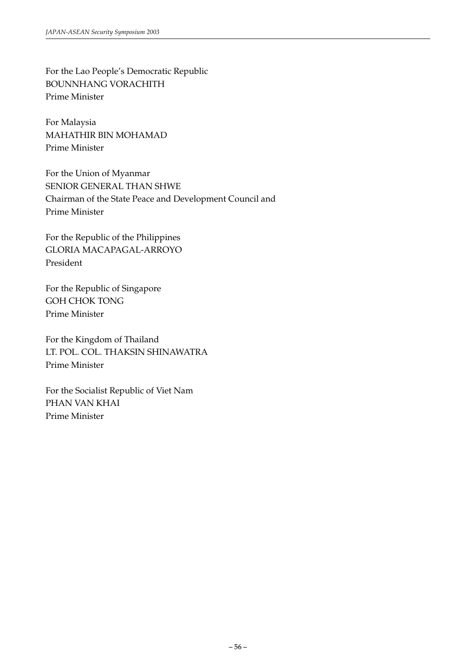For the Lao People's Democratic Republic BOUNNHANG VORACHITH Prime Minister

For Malaysia MAHATHIR BIN MOHAMAD Prime Minister

For the Union of Myanmar SENIOR GENERAL THAN SHWE Chairman of the State Peace and Development Council and Prime Minister

For the Republic of the Philippines GLORIA MACAPAGAL-ARROYO President

For the Republic of Singapore GOH CHOK TONG Prime Minister

For the Kingdom of Thailand LT. POL. COL. THAKSIN SHINAWATRA Prime Minister

For the Socialist Republic of Viet Nam PHAN VAN KHAI Prime Minister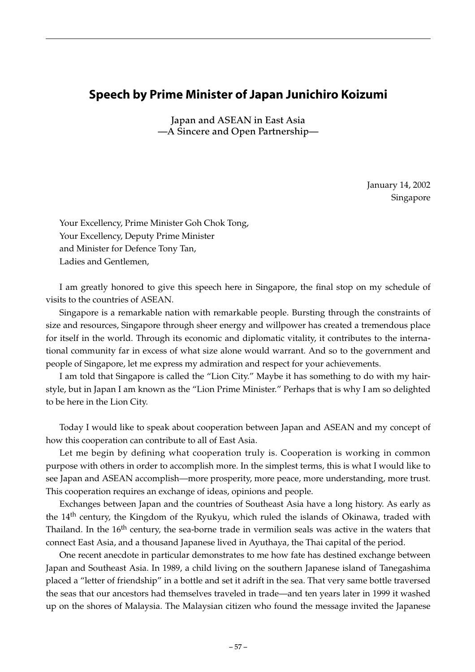# **Speech by Prime Minister of Japan Junichiro Koizumi**

**Japan and ASEAN in East Asia —A Sincere and Open Partnership—**

> January 14, 2002 Singapore

Your Excellency, Prime Minister Goh Chok Tong, Your Excellency, Deputy Prime Minister and Minister for Defence Tony Tan, Ladies and Gentlemen,

I am greatly honored to give this speech here in Singapore, the final stop on my schedule of visits to the countries of ASEAN.

Singapore is a remarkable nation with remarkable people. Bursting through the constraints of size and resources, Singapore through sheer energy and willpower has created a tremendous place for itself in the world. Through its economic and diplomatic vitality, it contributes to the international community far in excess of what size alone would warrant. And so to the government and people of Singapore, let me express my admiration and respect for your achievements.

I am told that Singapore is called the "Lion City." Maybe it has something to do with my hairstyle, but in Japan I am known as the "Lion Prime Minister." Perhaps that is why I am so delighted to be here in the Lion City.

Today I would like to speak about cooperation between Japan and ASEAN and my concept of how this cooperation can contribute to all of East Asia.

Let me begin by defining what cooperation truly is. Cooperation is working in common purpose with others in order to accomplish more. In the simplest terms, this is what I would like to see Japan and ASEAN accomplish—more prosperity, more peace, more understanding, more trust. This cooperation requires an exchange of ideas, opinions and people.

Exchanges between Japan and the countries of Southeast Asia have a long history. As early as the 14<sup>th</sup> century, the Kingdom of the Ryukyu, which ruled the islands of Okinawa, traded with Thailand. In the 16<sup>th</sup> century, the sea-borne trade in vermilion seals was active in the waters that connect East Asia, and a thousand Japanese lived in Ayuthaya, the Thai capital of the period.

One recent anecdote in particular demonstrates to me how fate has destined exchange between Japan and Southeast Asia. In 1989, a child living on the southern Japanese island of Tanegashima placed a "letter of friendship" in a bottle and set it adrift in the sea. That very same bottle traversed the seas that our ancestors had themselves traveled in trade—and ten years later in 1999 it washed up on the shores of Malaysia. The Malaysian citizen who found the message invited the Japanese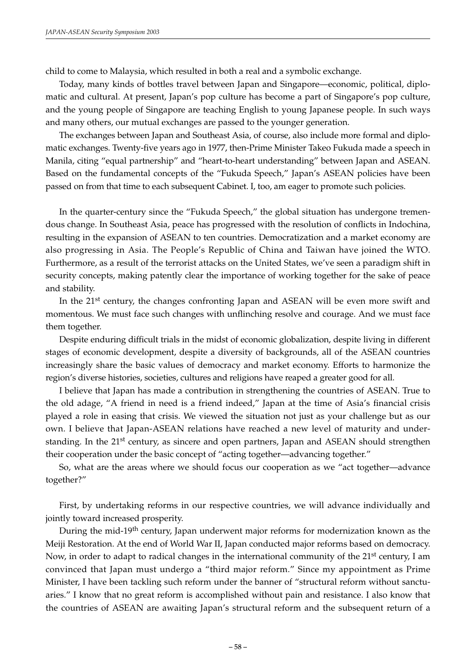child to come to Malaysia, which resulted in both a real and a symbolic exchange.

Today, many kinds of bottles travel between Japan and Singapore—economic, political, diplomatic and cultural. At present, Japan's pop culture has become a part of Singapore's pop culture, and the young people of Singapore are teaching English to young Japanese people. In such ways and many others, our mutual exchanges are passed to the younger generation.

The exchanges between Japan and Southeast Asia, of course, also include more formal and diplomatic exchanges. Twenty-five years ago in 1977, then-Prime Minister Takeo Fukuda made a speech in Manila, citing "equal partnership" and "heart-to-heart understanding" between Japan and ASEAN. Based on the fundamental concepts of the "Fukuda Speech," Japan's ASEAN policies have been passed on from that time to each subsequent Cabinet. I, too, am eager to promote such policies.

In the quarter-century since the "Fukuda Speech," the global situation has undergone tremendous change. In Southeast Asia, peace has progressed with the resolution of conflicts in Indochina, resulting in the expansion of ASEAN to ten countries. Democratization and a market economy are also progressing in Asia. The People's Republic of China and Taiwan have joined the WTO. Furthermore, as a result of the terrorist attacks on the United States, we've seen a paradigm shift in security concepts, making patently clear the importance of working together for the sake of peace and stability.

In the 21<sup>st</sup> century, the changes confronting Japan and ASEAN will be even more swift and momentous. We must face such changes with unflinching resolve and courage. And we must face them together.

Despite enduring difficult trials in the midst of economic globalization, despite living in different stages of economic development, despite a diversity of backgrounds, all of the ASEAN countries increasingly share the basic values of democracy and market economy. Efforts to harmonize the region's diverse histories, societies, cultures and religions have reaped a greater good for all.

I believe that Japan has made a contribution in strengthening the countries of ASEAN. True to the old adage, "A friend in need is a friend indeed," Japan at the time of Asia's financial crisis played a role in easing that crisis. We viewed the situation not just as your challenge but as our own. I believe that Japan-ASEAN relations have reached a new level of maturity and understanding. In the 21<sup>st</sup> century, as sincere and open partners, Japan and ASEAN should strengthen their cooperation under the basic concept of "acting together—advancing together."

So, what are the areas where we should focus our cooperation as we "act together—advance together?"

First, by undertaking reforms in our respective countries, we will advance individually and jointly toward increased prosperity.

During the mid-19<sup>th</sup> century, Japan underwent major reforms for modernization known as the Meiji Restoration. At the end of World War II, Japan conducted major reforms based on democracy. Now, in order to adapt to radical changes in the international community of the 21<sup>st</sup> century, I am convinced that Japan must undergo a "third major reform." Since my appointment as Prime Minister, I have been tackling such reform under the banner of "structural reform without sanctuaries." I know that no great reform is accomplished without pain and resistance. I also know that the countries of ASEAN are awaiting Japan's structural reform and the subsequent return of a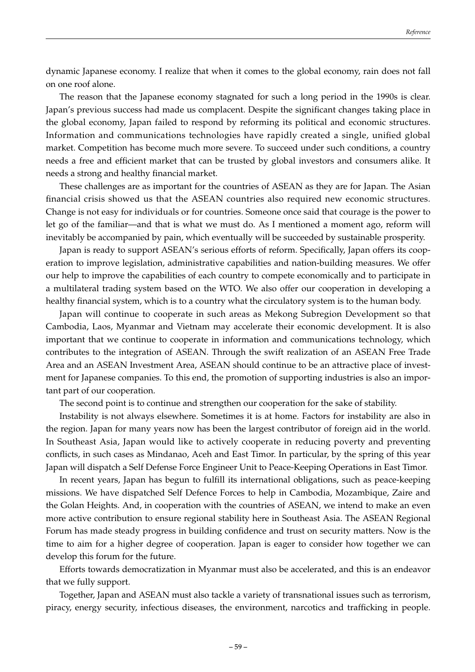dynamic Japanese economy. I realize that when it comes to the global economy, rain does not fall on one roof alone.

The reason that the Japanese economy stagnated for such a long period in the 1990s is clear. Japan's previous success had made us complacent. Despite the significant changes taking place in the global economy, Japan failed to respond by reforming its political and economic structures. Information and communications technologies have rapidly created a single, unified global market. Competition has become much more severe. To succeed under such conditions, a country needs a free and efficient market that can be trusted by global investors and consumers alike. It needs a strong and healthy financial market.

These challenges are as important for the countries of ASEAN as they are for Japan. The Asian financial crisis showed us that the ASEAN countries also required new economic structures. Change is not easy for individuals or for countries. Someone once said that courage is the power to let go of the familiar—and that is what we must do. As I mentioned a moment ago, reform will inevitably be accompanied by pain, which eventually will be succeeded by sustainable prosperity.

Japan is ready to support ASEAN's serious efforts of reform. Specifically, Japan offers its cooperation to improve legislation, administrative capabilities and nation-building measures. We offer our help to improve the capabilities of each country to compete economically and to participate in a multilateral trading system based on the WTO. We also offer our cooperation in developing a healthy financial system, which is to a country what the circulatory system is to the human body.

Japan will continue to cooperate in such areas as Mekong Subregion Development so that Cambodia, Laos, Myanmar and Vietnam may accelerate their economic development. It is also important that we continue to cooperate in information and communications technology, which contributes to the integration of ASEAN. Through the swift realization of an ASEAN Free Trade Area and an ASEAN Investment Area, ASEAN should continue to be an attractive place of investment for Japanese companies. To this end, the promotion of supporting industries is also an important part of our cooperation.

The second point is to continue and strengthen our cooperation for the sake of stability.

Instability is not always elsewhere. Sometimes it is at home. Factors for instability are also in the region. Japan for many years now has been the largest contributor of foreign aid in the world. In Southeast Asia, Japan would like to actively cooperate in reducing poverty and preventing conflicts, in such cases as Mindanao, Aceh and East Timor. In particular, by the spring of this year Japan will dispatch a Self Defense Force Engineer Unit to Peace-Keeping Operations in East Timor.

In recent years, Japan has begun to fulfill its international obligations, such as peace-keeping missions. We have dispatched Self Defence Forces to help in Cambodia, Mozambique, Zaire and the Golan Heights. And, in cooperation with the countries of ASEAN, we intend to make an even more active contribution to ensure regional stability here in Southeast Asia. The ASEAN Regional Forum has made steady progress in building confidence and trust on security matters. Now is the time to aim for a higher degree of cooperation. Japan is eager to consider how together we can develop this forum for the future.

Efforts towards democratization in Myanmar must also be accelerated, and this is an endeavor that we fully support.

Together, Japan and ASEAN must also tackle a variety of transnational issues such as terrorism, piracy, energy security, infectious diseases, the environment, narcotics and trafficking in people.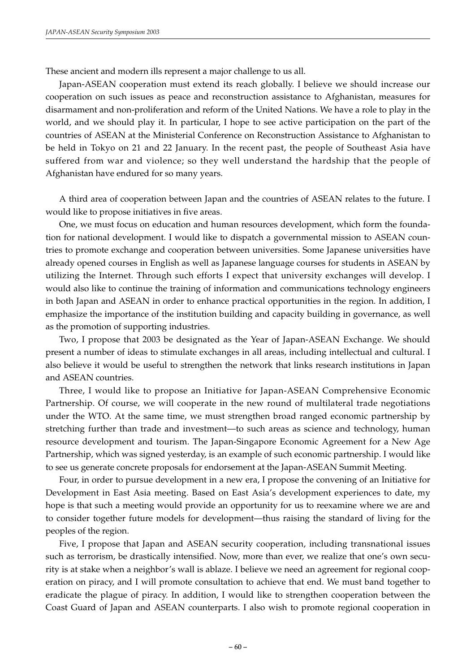These ancient and modern ills represent a major challenge to us all.

Japan-ASEAN cooperation must extend its reach globally. I believe we should increase our cooperation on such issues as peace and reconstruction assistance to Afghanistan, measures for disarmament and non-proliferation and reform of the United Nations. We have a role to play in the world, and we should play it. In particular, I hope to see active participation on the part of the countries of ASEAN at the Ministerial Conference on Reconstruction Assistance to Afghanistan to be held in Tokyo on 21 and 22 January. In the recent past, the people of Southeast Asia have suffered from war and violence; so they well understand the hardship that the people of Afghanistan have endured for so many years.

A third area of cooperation between Japan and the countries of ASEAN relates to the future. I would like to propose initiatives in five areas.

One, we must focus on education and human resources development, which form the foundation for national development. I would like to dispatch a governmental mission to ASEAN countries to promote exchange and cooperation between universities. Some Japanese universities have already opened courses in English as well as Japanese language courses for students in ASEAN by utilizing the Internet. Through such efforts I expect that university exchanges will develop. I would also like to continue the training of information and communications technology engineers in both Japan and ASEAN in order to enhance practical opportunities in the region. In addition, I emphasize the importance of the institution building and capacity building in governance, as well as the promotion of supporting industries.

Two, I propose that 2003 be designated as the Year of Japan-ASEAN Exchange. We should present a number of ideas to stimulate exchanges in all areas, including intellectual and cultural. I also believe it would be useful to strengthen the network that links research institutions in Japan and ASEAN countries.

Three, I would like to propose an Initiative for Japan-ASEAN Comprehensive Economic Partnership. Of course, we will cooperate in the new round of multilateral trade negotiations under the WTO. At the same time, we must strengthen broad ranged economic partnership by stretching further than trade and investment—to such areas as science and technology, human resource development and tourism. The Japan-Singapore Economic Agreement for a New Age Partnership, which was signed yesterday, is an example of such economic partnership. I would like to see us generate concrete proposals for endorsement at the Japan-ASEAN Summit Meeting.

Four, in order to pursue development in a new era, I propose the convening of an Initiative for Development in East Asia meeting. Based on East Asia's development experiences to date, my hope is that such a meeting would provide an opportunity for us to reexamine where we are and to consider together future models for development—thus raising the standard of living for the peoples of the region.

Five, I propose that Japan and ASEAN security cooperation, including transnational issues such as terrorism, be drastically intensified. Now, more than ever, we realize that one's own security is at stake when a neighbor's wall is ablaze. I believe we need an agreement for regional cooperation on piracy, and I will promote consultation to achieve that end. We must band together to eradicate the plague of piracy. In addition, I would like to strengthen cooperation between the Coast Guard of Japan and ASEAN counterparts. I also wish to promote regional cooperation in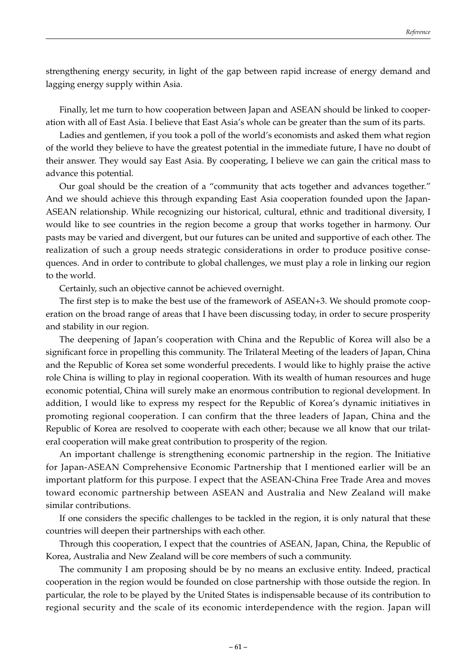strengthening energy security, in light of the gap between rapid increase of energy demand and lagging energy supply within Asia.

Finally, let me turn to how cooperation between Japan and ASEAN should be linked to cooperation with all of East Asia. I believe that East Asia's whole can be greater than the sum of its parts.

Ladies and gentlemen, if you took a poll of the world's economists and asked them what region of the world they believe to have the greatest potential in the immediate future, I have no doubt of their answer. They would say East Asia. By cooperating, I believe we can gain the critical mass to advance this potential.

Our goal should be the creation of a "community that acts together and advances together." And we should achieve this through expanding East Asia cooperation founded upon the Japan-ASEAN relationship. While recognizing our historical, cultural, ethnic and traditional diversity, I would like to see countries in the region become a group that works together in harmony. Our pasts may be varied and divergent, but our futures can be united and supportive of each other. The realization of such a group needs strategic considerations in order to produce positive consequences. And in order to contribute to global challenges, we must play a role in linking our region to the world.

Certainly, such an objective cannot be achieved overnight.

The first step is to make the best use of the framework of ASEAN+3. We should promote cooperation on the broad range of areas that I have been discussing today, in order to secure prosperity and stability in our region.

The deepening of Japan's cooperation with China and the Republic of Korea will also be a significant force in propelling this community. The Trilateral Meeting of the leaders of Japan, China and the Republic of Korea set some wonderful precedents. I would like to highly praise the active role China is willing to play in regional cooperation. With its wealth of human resources and huge economic potential, China will surely make an enormous contribution to regional development. In addition, I would like to express my respect for the Republic of Korea's dynamic initiatives in promoting regional cooperation. I can confirm that the three leaders of Japan, China and the Republic of Korea are resolved to cooperate with each other; because we all know that our trilateral cooperation will make great contribution to prosperity of the region.

An important challenge is strengthening economic partnership in the region. The Initiative for Japan-ASEAN Comprehensive Economic Partnership that I mentioned earlier will be an important platform for this purpose. I expect that the ASEAN-China Free Trade Area and moves toward economic partnership between ASEAN and Australia and New Zealand will make similar contributions.

If one considers the specific challenges to be tackled in the region, it is only natural that these countries will deepen their partnerships with each other.

Through this cooperation, I expect that the countries of ASEAN, Japan, China, the Republic of Korea, Australia and New Zealand will be core members of such a community.

The community I am proposing should be by no means an exclusive entity. Indeed, practical cooperation in the region would be founded on close partnership with those outside the region. In particular, the role to be played by the United States is indispensable because of its contribution to regional security and the scale of its economic interdependence with the region. Japan will